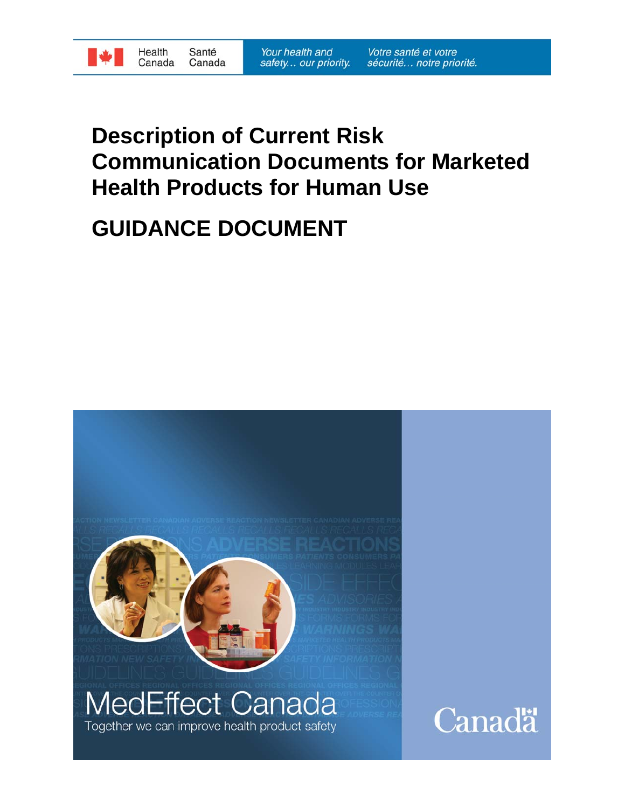

# **Description of Current Risk Communication Documents for Marketed Health Products for Human Use**

# **GUIDANCE DOCUMENT**

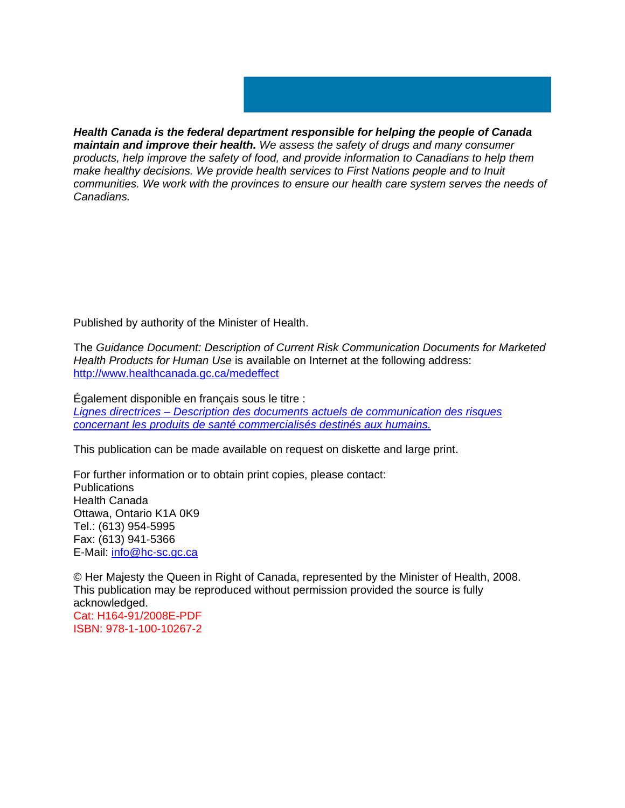

*Health Canada is the federal department responsible for helping the people of Canada maintain and improve their health. We assess the safety of drugs and many consumer products, help improve the safety of food, and provide information to Canadians to help them make healthy decisions. We provide health services to First Nations people and to Inuit communities. We work with the provinces to ensure our health care system serves the needs of Canadians.* 

Published by authority of the Minister of Health.

The *Guidance Document: Description of Current Risk Communication Documents for Marketed Health Products for Human Use* is available on Internet at the following address: http://www.healthcanada.gc.ca/medeffect

Également disponible en français sous le titre : *Lignes directrices – Description des documents actuels de communication des risques concernant les produits de santé commercialisés destinés aux humains.*

This publication can be made available on request on diskette and large print.

For further information or to obtain print copies, please contact: **Publications** Health Canada Ottawa, Ontario K1A 0K9 Tel.: (613) 954-5995 Fax: (613) 941-5366 E-Mail: info@hc-sc.gc.ca

© Her Majesty the Queen in Right of Canada, represented by the Minister of Health, 2008. This publication may be reproduced without permission provided the source is fully acknowledged. Cat: H164-91/2008E-PDF ISBN: 978-1-100-10267-2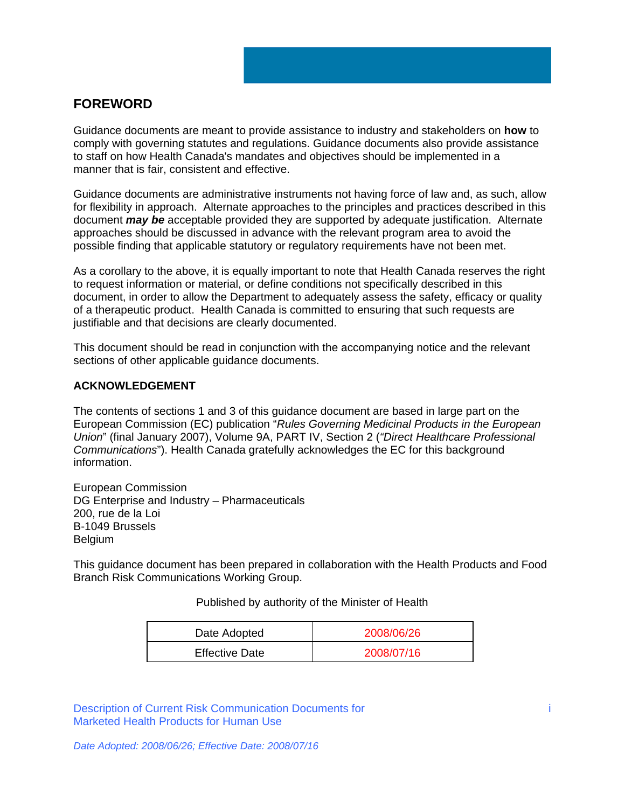# **FOREWORD**

Guidance documents are meant to provide assistance to industry and stakeholders on **how** to comply with governing statutes and regulations. Guidance documents also provide assistance to staff on how Health Canada's mandates and objectives should be implemented in a manner that is fair, consistent and effective.

Guidance documents are administrative instruments not having force of law and, as such, allow for flexibility in approach. Alternate approaches to the principles and practices described in this document *may be* acceptable provided they are supported by adequate justification. Alternate approaches should be discussed in advance with the relevant program area to avoid the possible finding that applicable statutory or regulatory requirements have not been met.

As a corollary to the above, it is equally important to note that Health Canada reserves the right to request information or material, or define conditions not specifically described in this document, in order to allow the Department to adequately assess the safety, efficacy or quality of a therapeutic product. Health Canada is committed to ensuring that such requests are justifiable and that decisions are clearly documented.

This document should be read in conjunction with the accompanying notice and the relevant sections of other applicable guidance documents.

## **ACKNOWLEDGEMENT**

The contents of sections 1 and 3 of this guidance document are based in large part on the European Commission (EC) publication "*Rules Governing Medicinal Products in the European Union*" (final January 2007), Volume 9A, PART IV, Section 2 (*"Direct Healthcare Professional Communications*"). Health Canada gratefully acknowledges the EC for this background information.

European Commission DG Enterprise and Industry – Pharmaceuticals 200, rue de la Loi B-1049 Brussels Belgium

This guidance document has been prepared in collaboration with the Health Products and Food Branch Risk Communications Working Group.

## Published by authority of the Minister of Health

| Date Adopted          | 2008/06/26 |  |
|-----------------------|------------|--|
| <b>Effective Date</b> | 2008/07/16 |  |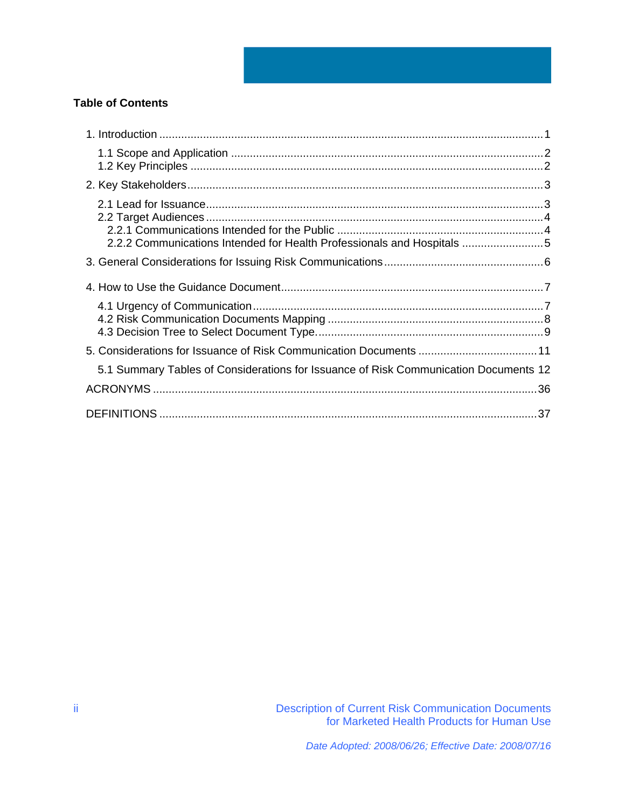# **Table of Contents**

| 2.2.2 Communications Intended for Health Professionals and Hospitals 5               |  |
|--------------------------------------------------------------------------------------|--|
|                                                                                      |  |
|                                                                                      |  |
|                                                                                      |  |
|                                                                                      |  |
| 5.1 Summary Tables of Considerations for Issuance of Risk Communication Documents 12 |  |
|                                                                                      |  |
|                                                                                      |  |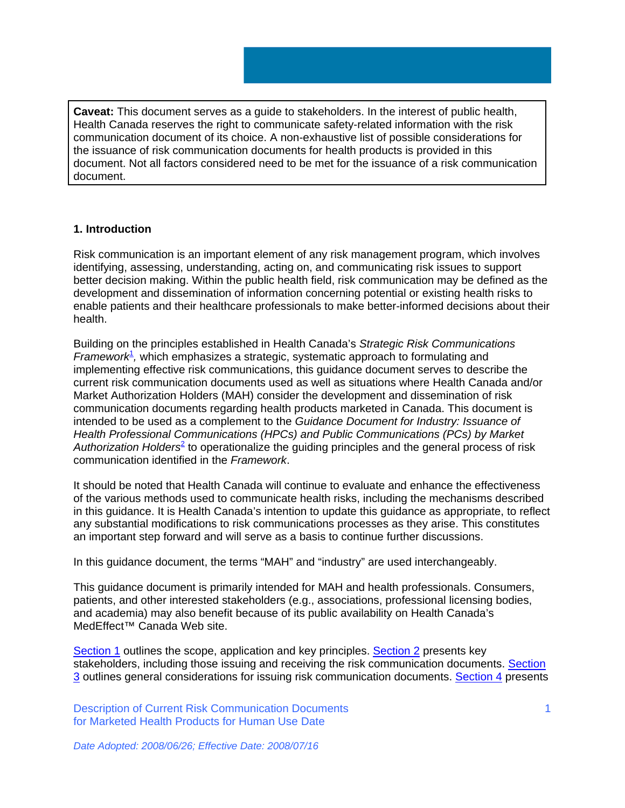**Caveat:** This document serves as a guide to stakeholders. In the interest of public health, Health Canada reserves the right to communicate safety-related information with the risk communication document of its choice. A non-exhaustive list of possible considerations for the issuance of risk communication documents for health products is provided in this document. Not all factors considered need to be met for the issuance of a risk communication document.

# **1. Introduction**

Risk communication is an important element of any risk management program, which involves identifying, assessing, understanding, acting on, and communicating risk issues to support better decision making. Within the public health field, risk communication may be defined as the development and dissemination of information concerning potential or existing health risks to enable patients and their healthcare professionals to make better-informed decisions about their health.

Building on the principles established in Health Canada's *Strategic Risk Communications*  Framework<sup>1</sup>, which emphasizes a strategic, systematic approach to formulating and implementing effective risk communications, this guidance document serves to describe the current risk communication documents used as well as situations where Health Canada and/or Market Authorization Holders (MAH) consider the development and dissemination of risk communication documents regarding health products marketed in Canada. This document is intended to be used as a complement to the *Guidance Document for Industry: Issuance of Health Professional Communications (HPCs) and Public Communications (PCs) by Market Authorization Holders*<sup>2</sup> to operationalize the guiding principles and the general process of risk communication identified in the *Framework*.

It should be noted that Health Canada will continue to evaluate and enhance the effectiveness of the various methods used to communicate health risks, including the mechanisms described in this guidance. It is Health Canada's intention to update this guidance as appropriate, to reflect any substantial modifications to risk communications processes as they arise. This constitutes an important step forward and will serve as a basis to continue further discussions.

In this guidance document, the terms "MAH" and "industry" are used interchangeably.

This guidance document is primarily intended for MAH and health professionals. Consumers, patients, and other interested stakeholders (e.g., associations, professional licensing bodies, and academia) may also benefit because of its public availability on Health Canada's MedEffect™ Canada Web site.

Section 1 outlines the scope, application and key principles. Section 2 presents key stakeholders, including those issuing and receiving the risk communication documents. Section 3 outlines general considerations for issuing risk communication documents. Section 4 presents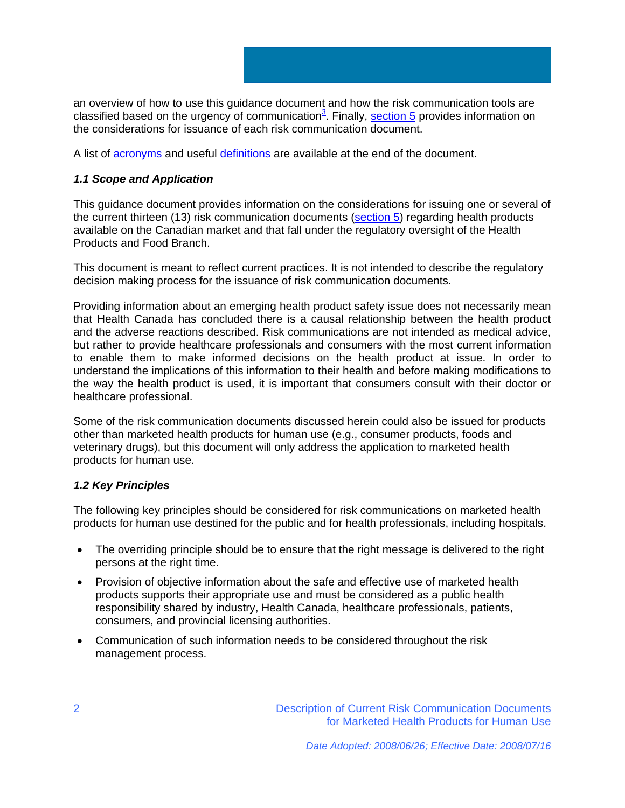an overview of how to use this guidance document and how the risk communication tools are classified based on the urgency of communication<sup>3</sup>. Finally, section 5 provides information on the considerations for issuance of each risk communication document.

A list of acronyms and useful definitions are available at the end of the document.

# *1.1 Scope and Application*

This guidance document provides information on the considerations for issuing one or several of the current thirteen (13) risk communication documents (section 5) regarding health products available on the Canadian market and that fall under the regulatory oversight of the Health Products and Food Branch.

This document is meant to reflect current practices. It is not intended to describe the regulatory decision making process for the issuance of risk communication documents.

Providing information about an emerging health product safety issue does not necessarily mean that Health Canada has concluded there is a causal relationship between the health product and the adverse reactions described. Risk communications are not intended as medical advice, but rather to provide healthcare professionals and consumers with the most current information to enable them to make informed decisions on the health product at issue. In order to understand the implications of this information to their health and before making modifications to the way the health product is used, it is important that consumers consult with their doctor or healthcare professional.

Some of the risk communication documents discussed herein could also be issued for products other than marketed health products for human use (e.g., consumer products, foods and veterinary drugs), but this document will only address the application to marketed health products for human use.

# *1.2 Key Principles*

The following key principles should be considered for risk communications on marketed health products for human use destined for the public and for health professionals, including hospitals.

- The overriding principle should be to ensure that the right message is delivered to the right persons at the right time.
- Provision of objective information about the safe and effective use of marketed health products supports their appropriate use and must be considered as a public health responsibility shared by industry, Health Canada, healthcare professionals, patients, consumers, and provincial licensing authorities.
- Communication of such information needs to be considered throughout the risk management process.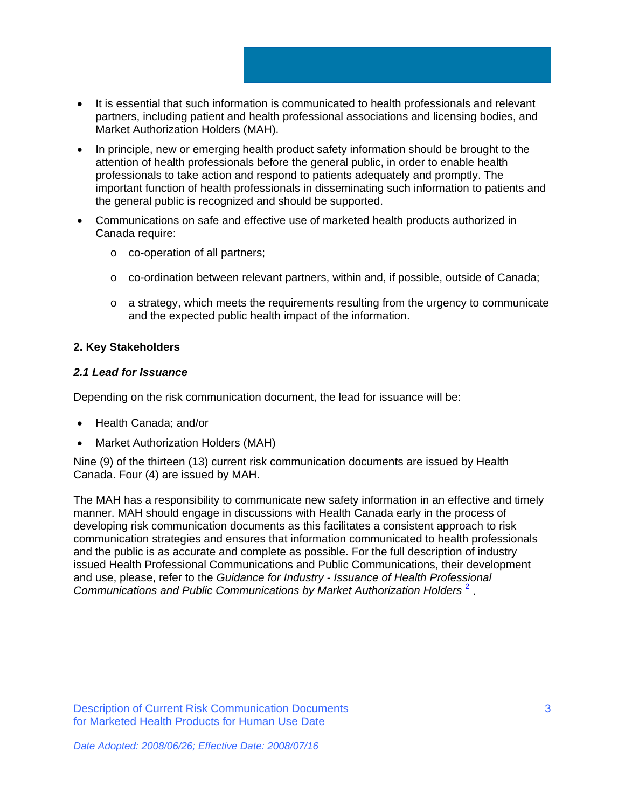- It is essential that such information is communicated to health professionals and relevant partners, including patient and health professional associations and licensing bodies, and Market Authorization Holders (MAH).
- In principle, new or emerging health product safety information should be brought to the attention of health professionals before the general public, in order to enable health professionals to take action and respond to patients adequately and promptly. The important function of health professionals in disseminating such information to patients and the general public is recognized and should be supported.
- Communications on safe and effective use of marketed health products authorized in Canada require:
	- o co-operation of all partners;
	- o co-ordination between relevant partners, within and, if possible, outside of Canada;
	- o a strategy, which meets the requirements resulting from the urgency to communicate and the expected public health impact of the information.

# **2. Key Stakeholders**

## *2.1 Lead for Issuance*

Depending on the risk communication document, the lead for issuance will be:

- Health Canada; and/or
- Market Authorization Holders (MAH)

Nine (9) of the thirteen (13) current risk communication documents are issued by Health Canada. Four (4) are issued by MAH.

The MAH has a responsibility to communicate new safety information in an effective and timely manner. MAH should engage in discussions with Health Canada early in the process of developing risk communication documents as this facilitates a consistent approach to risk communication strategies and ensures that information communicated to health professionals and the public is as accurate and complete as possible. For the full description of industry issued Health Professional Communications and Public Communications, their development and use, please, refer to the *Guidance for Industry - Issuance of Health Professional Communications and Public Communications by Market Authorization Holders* <sup>2</sup> .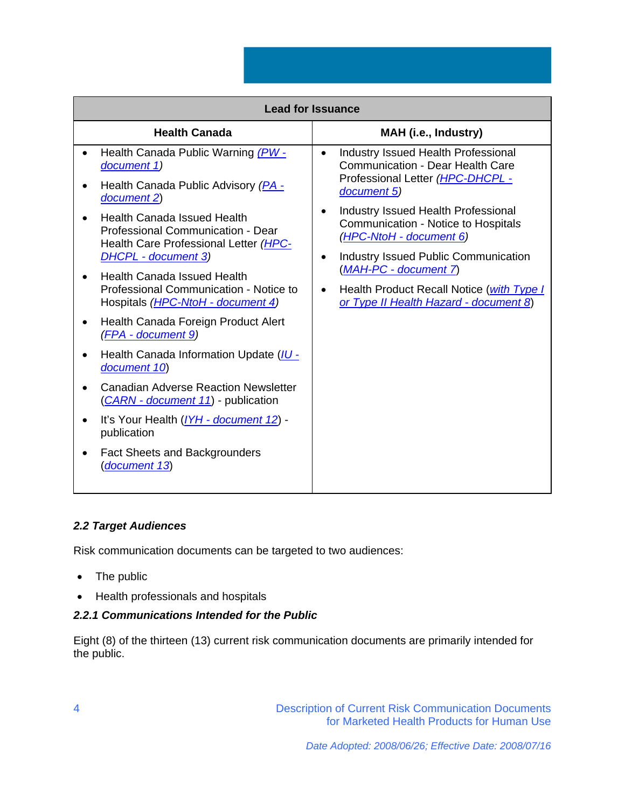|                                                                                                                                                                                                                                                                                                                                                                         | <b>Lead for Issuance</b>                                                                                                                                                                                                                                                                                                                                                                                                                                       |
|-------------------------------------------------------------------------------------------------------------------------------------------------------------------------------------------------------------------------------------------------------------------------------------------------------------------------------------------------------------------------|----------------------------------------------------------------------------------------------------------------------------------------------------------------------------------------------------------------------------------------------------------------------------------------------------------------------------------------------------------------------------------------------------------------------------------------------------------------|
| <b>Health Canada</b>                                                                                                                                                                                                                                                                                                                                                    | MAH (i.e., Industry)                                                                                                                                                                                                                                                                                                                                                                                                                                           |
| Health Canada Public Warning (PW -<br>document 1)<br>Health Canada Public Advisory (PA -<br>document 2)<br><b>Health Canada Issued Health</b><br>Professional Communication - Dear<br>Health Care Professional Letter (HPC-<br>DHCPL - document 3)<br><b>Health Canada Issued Health</b><br>Professional Communication - Notice to<br>Hospitals (HPC-NtoH - document 4) | <b>Industry Issued Health Professional</b><br>$\bullet$<br><b>Communication - Dear Health Care</b><br>Professional Letter (HPC-DHCPL -<br>document 5)<br><b>Industry Issued Health Professional</b><br>Communication - Notice to Hospitals<br>(HPC-NtoH - document 6)<br><b>Industry Issued Public Communication</b><br>$\bullet$<br>(MAH-PC - document 7)<br>Health Product Recall Notice (with Type I<br>$\bullet$<br>or Type II Health Hazard - document 8) |
| Health Canada Foreign Product Alert<br>(FPA - document 9)<br>Health Canada Information Update (IU -<br>document 10)<br><b>Canadian Adverse Reaction Newsletter</b><br>(CARN - document 11) - publication<br>It's Your Health (IYH - document 12) -<br>publication<br><b>Fact Sheets and Backgrounders</b><br>(document 13)                                              |                                                                                                                                                                                                                                                                                                                                                                                                                                                                |

# *2.2 Target Audiences*

Risk communication documents can be targeted to two audiences:

- The public
- Health professionals and hospitals

# *2.2.1 Communications Intended for the Public*

Eight (8) of the thirteen (13) current risk communication documents are primarily intended for the public.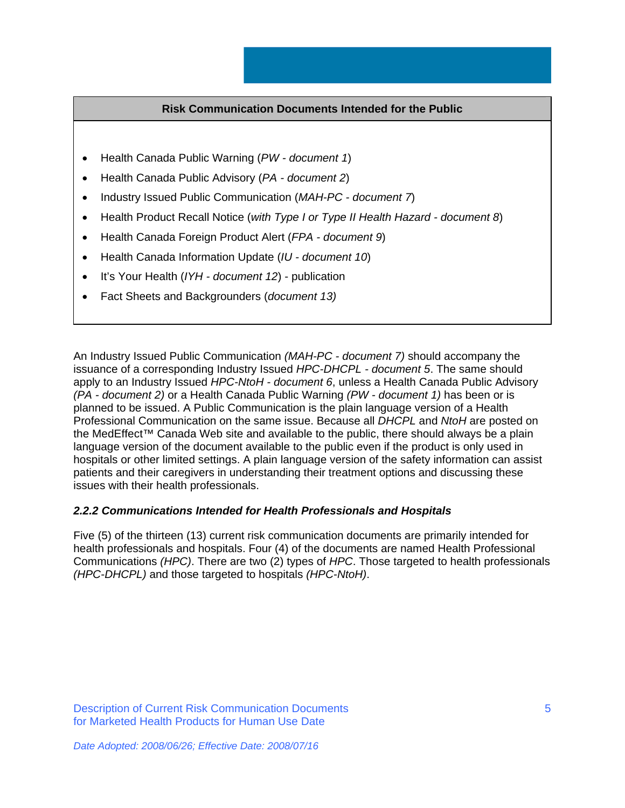## **Risk Communication Documents Intended for the Public**

- Health Canada Public Warning (*PW document 1*)
- Health Canada Public Advisory (*PA document 2*)
- Industry Issued Public Communication (*MAH-PC document 7*)
- Health Product Recall Notice (*with Type I or Type II Health Hazard document 8*)
- Health Canada Foreign Product Alert (*FPA document 9*)
- Health Canada Information Update (*IU document 10*)
- It's Your Health (*IYH document 12*) publication
- Fact Sheets and Backgrounders (*document 13)*

An Industry Issued Public Communication *(MAH-PC - document 7)* should accompany the issuance of a corresponding Industry Issued *HPC-DHCPL - document 5*. The same should apply to an Industry Issued *HPC-NtoH - document 6*, unless a Health Canada Public Advisory *(PA - document 2)* or a Health Canada Public Warning *(PW - document 1)* has been or is planned to be issued. A Public Communication is the plain language version of a Health Professional Communication on the same issue. Because all *DHCPL* and *NtoH* are posted on the MedEffect™ Canada Web site and available to the public, there should always be a plain language version of the document available to the public even if the product is only used in hospitals or other limited settings. A plain language version of the safety information can assist patients and their caregivers in understanding their treatment options and discussing these issues with their health professionals.

## *2.2.2 Communications Intended for Health Professionals and Hospitals*

Five (5) of the thirteen (13) current risk communication documents are primarily intended for health professionals and hospitals. Four (4) of the documents are named Health Professional Communications *(HPC)*. There are two (2) types of *HPC*. Those targeted to health professionals *(HPC-DHCPL)* and those targeted to hospitals *(HPC-NtoH)*.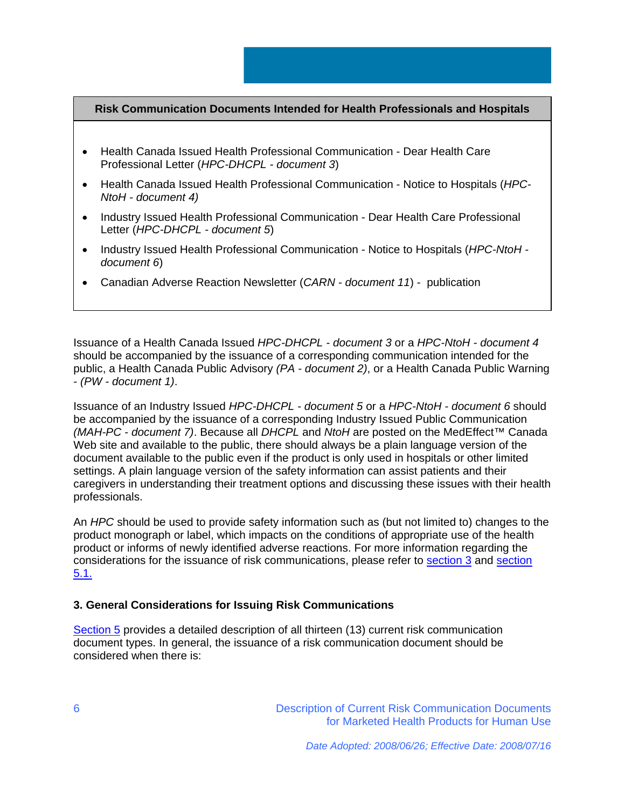# **Risk Communication Documents Intended for Health Professionals and Hospitals**

- Health Canada Issued Health Professional Communication Dear Health Care Professional Letter (*HPC-DHCPL - document 3*)
- Health Canada Issued Health Professional Communication Notice to Hospitals (*HPC-NtoH - document 4)*
- Industry Issued Health Professional Communication Dear Health Care Professional Letter (*HPC-DHCPL - document 5*)
- Industry Issued Health Professional Communication Notice to Hospitals (*HPC-NtoH document 6*)
- Canadian Adverse Reaction Newsletter (*CARN document 11*) publication

Issuance of a Health Canada Issued *HPC-DHCPL - document 3* or a *HPC-NtoH - document 4* should be accompanied by the issuance of a corresponding communication intended for the public, a Health Canada Public Advisory *(PA - document 2)*, or a Health Canada Public Warning - *(PW - document 1)*.

Issuance of an Industry Issued *HPC-DHCPL - document 5* or a *HPC-NtoH - document 6* should be accompanied by the issuance of a corresponding Industry Issued Public Communication *(MAH-PC - document 7)*. Because all *DHCPL* and *NtoH* are posted on the MedEffect™ Canada Web site and available to the public, there should always be a plain language version of the document available to the public even if the product is only used in hospitals or other limited settings. A plain language version of the safety information can assist patients and their caregivers in understanding their treatment options and discussing these issues with their health professionals.

An *HPC* should be used to provide safety information such as (but not limited to) changes to the product monograph or label, which impacts on the conditions of appropriate use of the health product or informs of newly identified adverse reactions. For more information regarding the considerations for the issuance of risk communications, please refer to section 3 and section 5.1.

## **3. General Considerations for Issuing Risk Communications**

Section 5 provides a detailed description of all thirteen (13) current risk communication document types. In general, the issuance of a risk communication document should be considered when there is: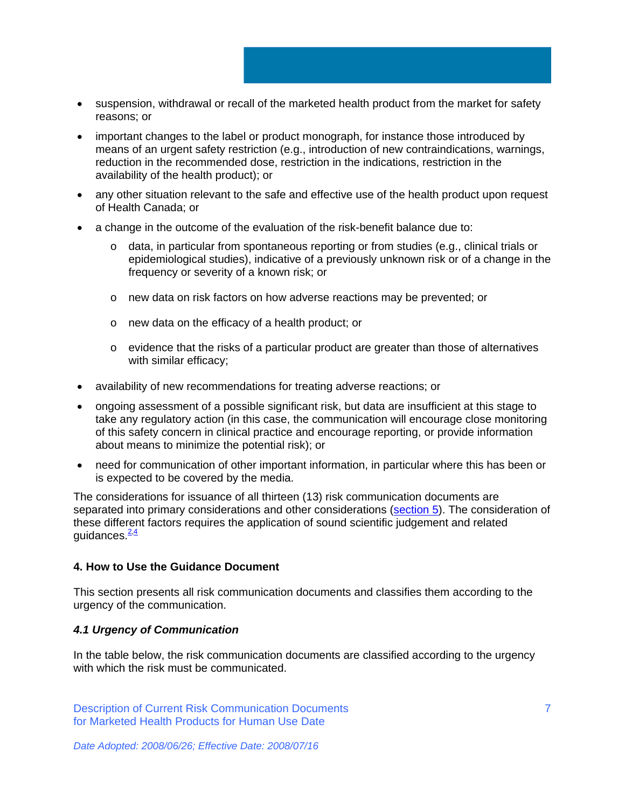- suspension, withdrawal or recall of the marketed health product from the market for safety reasons; or
- important changes to the label or product monograph, for instance those introduced by means of an urgent safety restriction (e.g., introduction of new contraindications, warnings, reduction in the recommended dose, restriction in the indications, restriction in the availability of the health product); or
- any other situation relevant to the safe and effective use of the health product upon request of Health Canada; or
- a change in the outcome of the evaluation of the risk-benefit balance due to:
	- o data, in particular from spontaneous reporting or from studies (e.g., clinical trials or epidemiological studies), indicative of a previously unknown risk or of a change in the frequency or severity of a known risk; or
	- o new data on risk factors on how adverse reactions may be prevented; or
	- o new data on the efficacy of a health product; or
	- o evidence that the risks of a particular product are greater than those of alternatives with similar efficacy;
- availability of new recommendations for treating adverse reactions; or
- ongoing assessment of a possible significant risk, but data are insufficient at this stage to take any regulatory action (in this case, the communication will encourage close monitoring of this safety concern in clinical practice and encourage reporting, or provide information about means to minimize the potential risk); or
- need for communication of other important information, in particular where this has been or is expected to be covered by the media.

The considerations for issuance of all thirteen (13) risk communication documents are separated into primary considerations and other considerations (section 5). The consideration of these different factors requires the application of sound scientific judgement and related quidances  $\frac{2.4}{1}$ 

# **4. How to Use the Guidance Document**

This section presents all risk communication documents and classifies them according to the urgency of the communication.

## *4.1 Urgency of Communication*

In the table below, the risk communication documents are classified according to the urgency with which the risk must be communicated.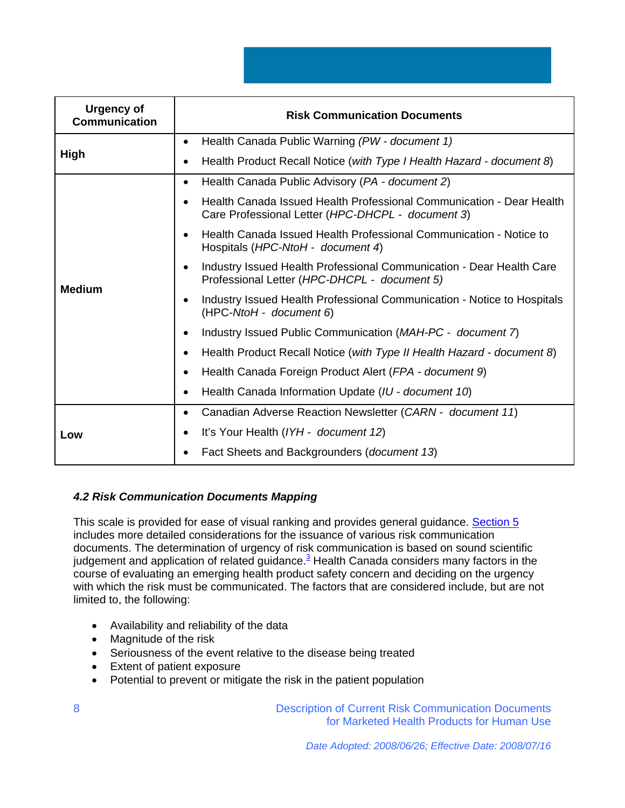| <b>Urgency of</b><br><b>Communication</b> | <b>Risk Communication Documents</b>                                                                                       |
|-------------------------------------------|---------------------------------------------------------------------------------------------------------------------------|
| High                                      | Health Canada Public Warning (PW - document 1)<br>$\bullet$                                                               |
|                                           | Health Product Recall Notice (with Type I Health Hazard - document 8)<br>$\bullet$                                        |
|                                           | Health Canada Public Advisory (PA - document 2)<br>$\bullet$                                                              |
| <b>Medium</b>                             | Health Canada Issued Health Professional Communication - Dear Health<br>Care Professional Letter (HPC-DHCPL - document 3) |
|                                           | Health Canada Issued Health Professional Communication - Notice to<br>Hospitals (HPC-NtoH - document 4)                   |
|                                           | Industry Issued Health Professional Communication - Dear Health Care<br>Professional Letter (HPC-DHCPL - document 5)      |
|                                           | Industry Issued Health Professional Communication - Notice to Hospitals<br>(HPC-NtoH - document 6)                        |
|                                           | Industry Issued Public Communication (MAH-PC - document 7)                                                                |
|                                           | Health Product Recall Notice (with Type II Health Hazard - document 8)                                                    |
|                                           | Health Canada Foreign Product Alert (FPA - document 9)<br>$\bullet$                                                       |
|                                           | Health Canada Information Update (IU - document 10)<br>$\bullet$                                                          |
| Low                                       | Canadian Adverse Reaction Newsletter (CARN - document 11)<br>$\bullet$                                                    |
|                                           | It's Your Health (IYH - document 12)<br>$\bullet$                                                                         |
|                                           | Fact Sheets and Backgrounders (document 13)                                                                               |

# *4.2 Risk Communication Documents Mapping*

This scale is provided for ease of visual ranking and provides general guidance. Section 5 includes more detailed considerations for the issuance of various risk communication documents. The determination of urgency of risk communication is based on sound scientific judgement and application of related guidance.<sup>3</sup> Health Canada considers many factors in the course of evaluating an emerging health product safety concern and deciding on the urgency with which the risk must be communicated. The factors that are considered include, but are not limited to, the following:

- Availability and reliability of the data
- Magnitude of the risk
- Seriousness of the event relative to the disease being treated
- Extent of patient exposure
- Potential to prevent or mitigate the risk in the patient population

Description of Current Risk Communication Documents for Marketed Health Products for Human Use

8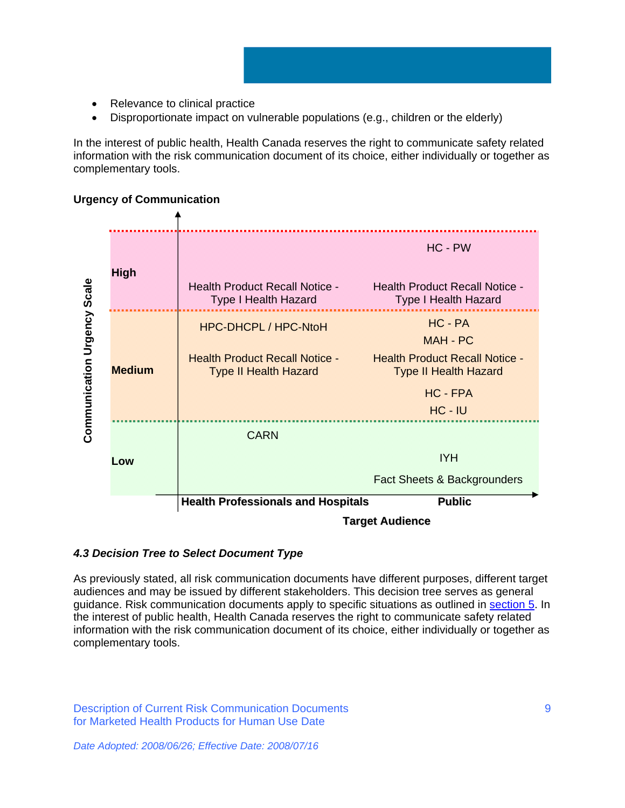- Relevance to clinical practice
- Disproportionate impact on vulnerable populations (e.g., children or the elderly)

In the interest of public health, Health Canada reserves the right to communicate safety related information with the risk communication document of its choice, either individually or together as complementary tools.

# **Urgency of Communication**



# *4.3 Decision Tree to Select Document Type*

As previously stated, all risk communication documents have different purposes, different target audiences and may be issued by different stakeholders. This decision tree serves as general guidance. Risk communication documents apply to specific situations as outlined in section 5. In the interest of public health, Health Canada reserves the right to communicate safety related information with the risk communication document of its choice, either individually or together as complementary tools.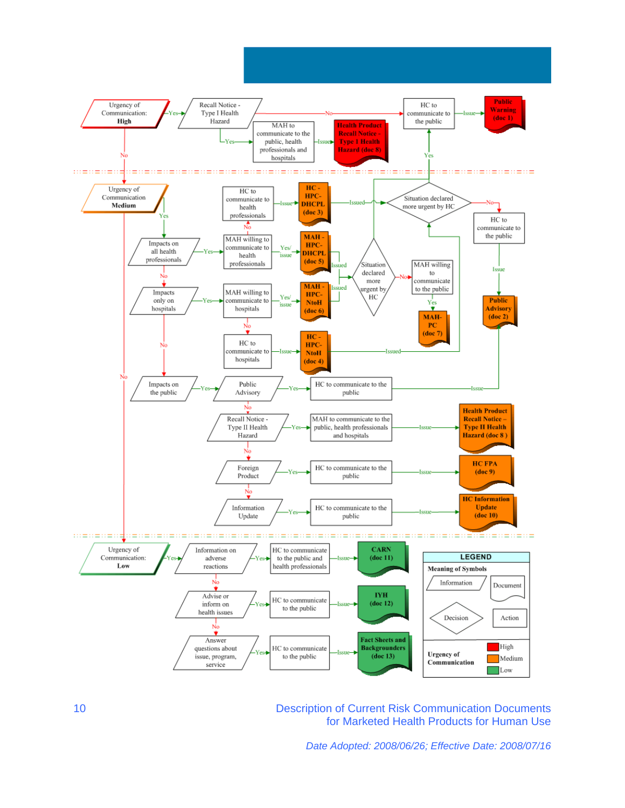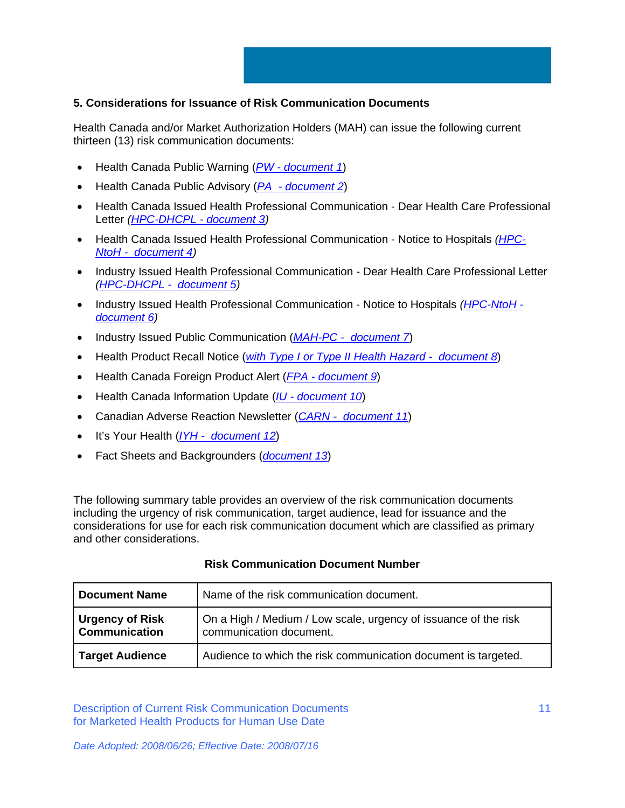# **5. Considerations for Issuance of Risk Communication Documents**

Health Canada and/or Market Authorization Holders (MAH) can issue the following current thirteen (13) risk communication documents:

- Health Canada Public Warning (*PW document 1*)
- Health Canada Public Advisory (*PA document 2*)
- Health Canada Issued Health Professional Communication Dear Health Care Professional Letter *(HPC-DHCPL - document 3)*
- Health Canada Issued Health Professional Communication Notice to Hospitals *(HPC-NtoH - document 4)*
- Industry Issued Health Professional Communication Dear Health Care Professional Letter *(HPC-DHCPL - document 5)*
- Industry Issued Health Professional Communication Notice to Hospitals *(HPC-NtoH document 6)*
- Industry Issued Public Communication (*MAH-PC document 7*)
- Health Product Recall Notice (*with Type I or Type II Health Hazard document 8*)
- Health Canada Foreign Product Alert (*FPA document 9*)
- Health Canada Information Update (*IU document 10*)
- Canadian Adverse Reaction Newsletter (*CARN document 11*)
- It's Your Health (*IYH document 12*)
- Fact Sheets and Backgrounders (*document 13*)

The following summary table provides an overview of the risk communication documents including the urgency of risk communication, target audience, lead for issuance and the considerations for use for each risk communication document which are classified as primary and other considerations.

| <b>Document Name</b>             | Name of the risk communication document.                                                   |
|----------------------------------|--------------------------------------------------------------------------------------------|
| Urgency of Risk<br>Communication | On a High / Medium / Low scale, urgency of issuance of the risk<br>communication document. |
| <b>Target Audience</b>           | Audience to which the risk communication document is targeted.                             |

## **Risk Communication Document Number**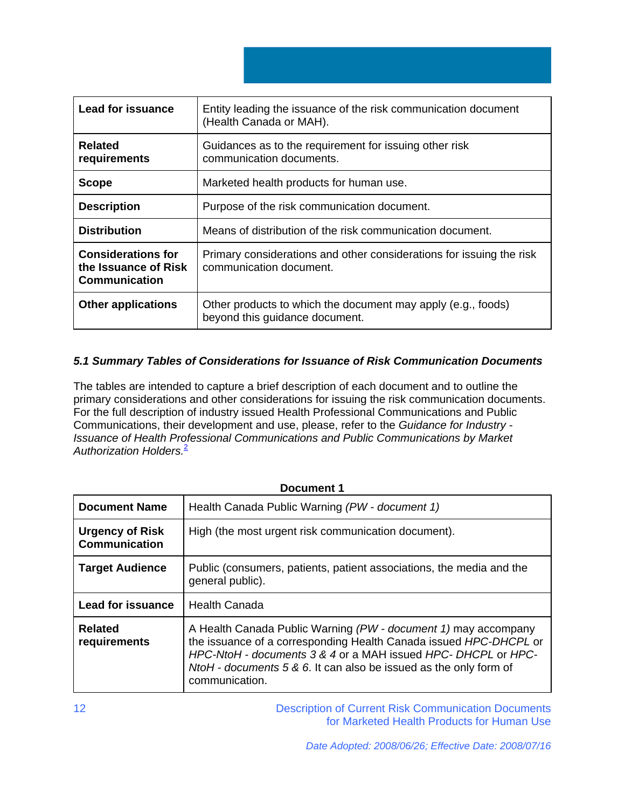| <b>Lead for issuance</b>                                                  | Entity leading the issuance of the risk communication document<br>(Health Canada or MAH).       |
|---------------------------------------------------------------------------|-------------------------------------------------------------------------------------------------|
| <b>Related</b><br>requirements                                            | Guidances as to the requirement for issuing other risk<br>communication documents.              |
| <b>Scope</b>                                                              | Marketed health products for human use.                                                         |
| <b>Description</b>                                                        | Purpose of the risk communication document.                                                     |
| <b>Distribution</b>                                                       | Means of distribution of the risk communication document.                                       |
| <b>Considerations for</b><br>the Issuance of Risk<br><b>Communication</b> | Primary considerations and other considerations for issuing the risk<br>communication document. |
| <b>Other applications</b>                                                 | Other products to which the document may apply (e.g., foods)<br>beyond this guidance document.  |

# *5.1 Summary Tables of Considerations for Issuance of Risk Communication Documents*

The tables are intended to capture a brief description of each document and to outline the primary considerations and other considerations for issuing the risk communication documents. For the full description of industry issued Health Professional Communications and Public Communications, their development and use, please, refer to the *Guidance for Industry - Issuance of Health Professional Communications and Public Communications by Market Authorization Holders.*<sup>2</sup>

| <b>Document 1</b>                              |                                                                                                                                                                                                                                                                                            |
|------------------------------------------------|--------------------------------------------------------------------------------------------------------------------------------------------------------------------------------------------------------------------------------------------------------------------------------------------|
| <b>Document Name</b>                           | Health Canada Public Warning (PW - document 1)                                                                                                                                                                                                                                             |
| <b>Urgency of Risk</b><br><b>Communication</b> | High (the most urgent risk communication document).                                                                                                                                                                                                                                        |
| <b>Target Audience</b>                         | Public (consumers, patients, patient associations, the media and the<br>general public).                                                                                                                                                                                                   |
| <b>Lead for issuance</b>                       | <b>Health Canada</b>                                                                                                                                                                                                                                                                       |
| <b>Related</b><br>requirements                 | A Health Canada Public Warning (PW - document 1) may accompany<br>the issuance of a corresponding Health Canada issued HPC-DHCPL or<br>HPC-NtoH - documents 3 & 4 or a MAH issued HPC-DHCPL or HPC-<br>NtoH - documents 5 & 6. It can also be issued as the only form of<br>communication. |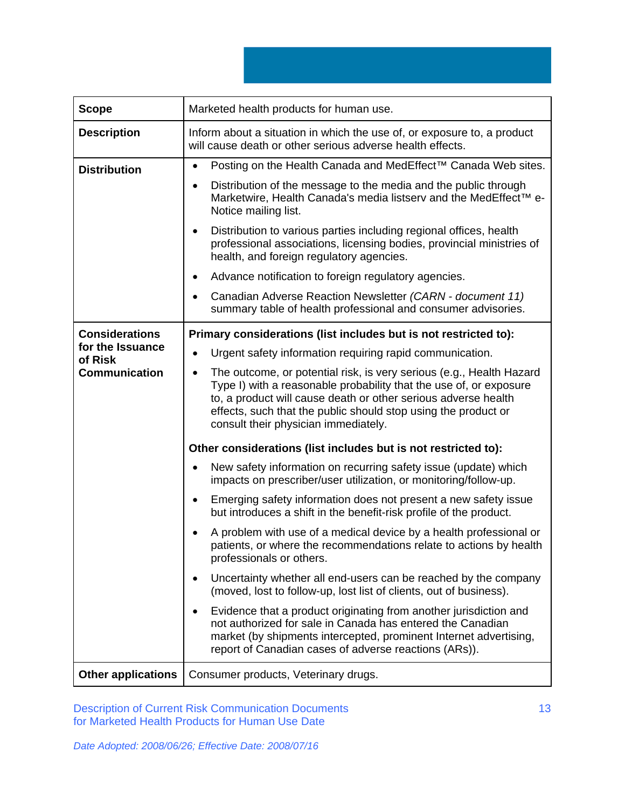**Scope** Marketed health products for human use. **Description** | Inform about a situation in which the use of, or exposure to, a product will cause death or other serious adverse health effects. **Distribution | •** Posting on the Health Canada and MedEffect<sup>™</sup> Canada Web sites. • Distribution of the message to the media and the public through Marketwire, Health Canada's media listserv and the MedEffect™ e-Notice mailing list. • Distribution to various parties including regional offices, health professional associations, licensing bodies, provincial ministries of health, and foreign regulatory agencies. • Advance notification to foreign regulatory agencies. • Canadian Adverse Reaction Newsletter *(CARN - document 11)* summary table of health professional and consumer advisories. **Considerations for the Issuance of Risk Communication Primary considerations (list includes but is not restricted to):**  • Urgent safety information requiring rapid communication. • The outcome, or potential risk, is very serious (e.g., Health Hazard Type I) with a reasonable probability that the use of, or exposure to, a product will cause death or other serious adverse health effects, such that the public should stop using the product or consult their physician immediately. **Other considerations (list includes but is not restricted to):**  • New safety information on recurring safety issue (update) which impacts on prescriber/user utilization, or monitoring/follow-up. • Emerging safety information does not present a new safety issue but introduces a shift in the benefit-risk profile of the product. • A problem with use of a medical device by a health professional or patients, or where the recommendations relate to actions by health professionals or others. • Uncertainty whether all end-users can be reached by the company (moved, lost to follow-up, lost list of clients, out of business). • Evidence that a product originating from another jurisdiction and not authorized for sale in Canada has entered the Canadian market (by shipments intercepted, prominent Internet advertising, report of Canadian cases of adverse reactions (ARs)). **Other applications** | Consumer products, Veterinary drugs.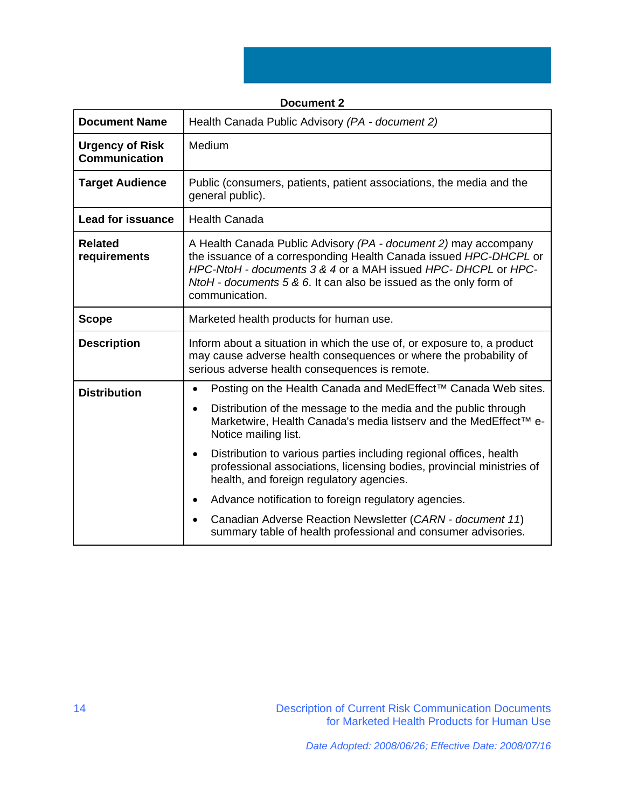|                                                | <b>Document 2</b>                                                                                                                                                                                                                                                                            |
|------------------------------------------------|----------------------------------------------------------------------------------------------------------------------------------------------------------------------------------------------------------------------------------------------------------------------------------------------|
| <b>Document Name</b>                           | Health Canada Public Advisory (PA - document 2)                                                                                                                                                                                                                                              |
| <b>Urgency of Risk</b><br><b>Communication</b> | Medium                                                                                                                                                                                                                                                                                       |
| <b>Target Audience</b>                         | Public (consumers, patients, patient associations, the media and the<br>general public).                                                                                                                                                                                                     |
| <b>Lead for issuance</b>                       | <b>Health Canada</b>                                                                                                                                                                                                                                                                         |
| <b>Related</b><br>requirements                 | A Health Canada Public Advisory (PA - document 2) may accompany<br>the issuance of a corresponding Health Canada issued HPC-DHCPL or<br>HPC-NtoH - documents 3 & 4 or a MAH issued HPC- DHCPL or HPC-<br>NtoH - documents 5 & 6. It can also be issued as the only form of<br>communication. |
| <b>Scope</b>                                   | Marketed health products for human use.                                                                                                                                                                                                                                                      |
| <b>Description</b>                             | Inform about a situation in which the use of, or exposure to, a product<br>may cause adverse health consequences or where the probability of<br>serious adverse health consequences is remote.                                                                                               |
| <b>Distribution</b>                            | Posting on the Health Canada and MedEffect™ Canada Web sites.<br>$\bullet$                                                                                                                                                                                                                   |
|                                                | Distribution of the message to the media and the public through<br>$\bullet$<br>Marketwire, Health Canada's media listserv and the MedEffect™ e-<br>Notice mailing list.                                                                                                                     |
|                                                | Distribution to various parties including regional offices, health<br>$\bullet$<br>professional associations, licensing bodies, provincial ministries of<br>health, and foreign regulatory agencies.                                                                                         |
|                                                | Advance notification to foreign regulatory agencies.                                                                                                                                                                                                                                         |
|                                                | Canadian Adverse Reaction Newsletter (CARN - document 11)<br>summary table of health professional and consumer advisories.                                                                                                                                                                   |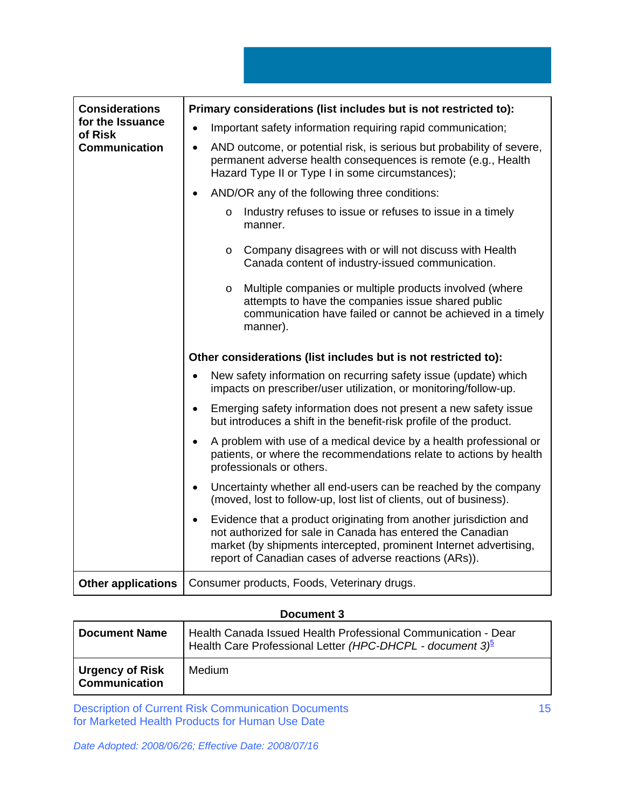| <b>Considerations</b><br>for the Issuance<br>of Risk | Primary considerations (list includes but is not restricted to):                                                                                                                                                                                                           |
|------------------------------------------------------|----------------------------------------------------------------------------------------------------------------------------------------------------------------------------------------------------------------------------------------------------------------------------|
|                                                      | Important safety information requiring rapid communication;                                                                                                                                                                                                                |
| <b>Communication</b>                                 | AND outcome, or potential risk, is serious but probability of severe,<br>$\bullet$<br>permanent adverse health consequences is remote (e.g., Health<br>Hazard Type II or Type I in some circumstances);                                                                    |
|                                                      | AND/OR any of the following three conditions:                                                                                                                                                                                                                              |
|                                                      | Industry refuses to issue or refuses to issue in a timely<br>$\circ$<br>manner.                                                                                                                                                                                            |
|                                                      | Company disagrees with or will not discuss with Health<br>$\circ$<br>Canada content of industry-issued communication.                                                                                                                                                      |
|                                                      | Multiple companies or multiple products involved (where<br>$\circ$<br>attempts to have the companies issue shared public<br>communication have failed or cannot be achieved in a timely<br>manner).                                                                        |
|                                                      | Other considerations (list includes but is not restricted to):                                                                                                                                                                                                             |
|                                                      | New safety information on recurring safety issue (update) which<br>$\bullet$<br>impacts on prescriber/user utilization, or monitoring/follow-up.                                                                                                                           |
|                                                      | Emerging safety information does not present a new safety issue<br>$\bullet$<br>but introduces a shift in the benefit-risk profile of the product.                                                                                                                         |
|                                                      | A problem with use of a medical device by a health professional or<br>$\bullet$<br>patients, or where the recommendations relate to actions by health<br>professionals or others.                                                                                          |
|                                                      | Uncertainty whether all end-users can be reached by the company<br>$\bullet$<br>(moved, lost to follow-up, lost list of clients, out of business).                                                                                                                         |
|                                                      | Evidence that a product originating from another jurisdiction and<br>$\bullet$<br>not authorized for sale in Canada has entered the Canadian<br>market (by shipments intercepted, prominent Internet advertising,<br>report of Canadian cases of adverse reactions (ARs)). |
| <b>Other applications</b>                            | Consumer products, Foods, Veterinary drugs.                                                                                                                                                                                                                                |

# **Document 3**

| <b>Document Name</b>                                 | Health Canada Issued Health Professional Communication - Dear<br>Health Care Professional Letter (HPC-DHCPL - document 3) <sup>5</sup> |
|------------------------------------------------------|----------------------------------------------------------------------------------------------------------------------------------------|
| <b>Urgency of Risk</b><br><sup>'</sup> Communication | <b>Medium</b>                                                                                                                          |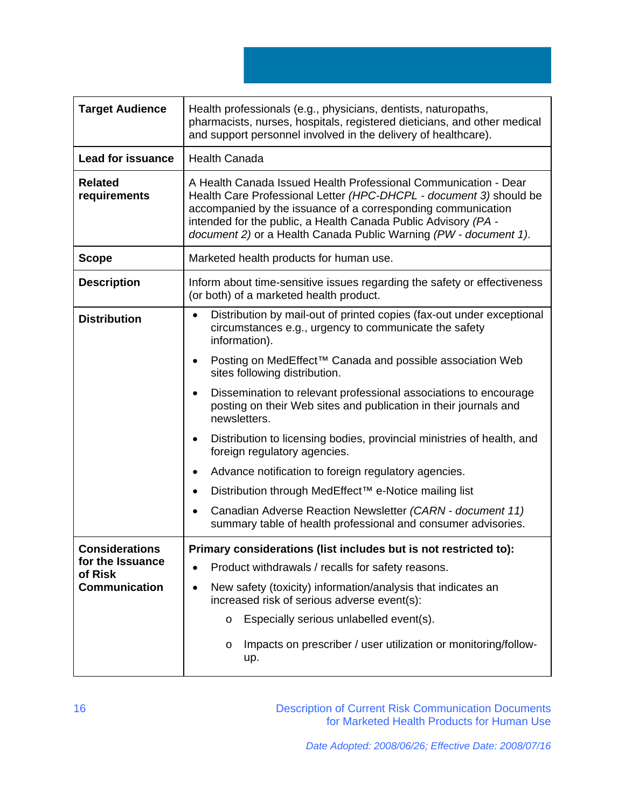**Target Audience** Health professionals (e.g., physicians, dentists, naturopaths, pharmacists, nurses, hospitals, registered dieticians, and other medical and support personnel involved in the delivery of healthcare). Lead for issuance | Health Canada **Related requirements**  A Health Canada Issued Health Professional Communication - Dear Health Care Professional Letter *(HPC-DHCPL - document 3)* should be accompanied by the issuance of a corresponding communication intended for the public, a Health Canada Public Advisory *(PA document 2)* or a Health Canada Public Warning *(PW - document 1)*. **Scope Marketed health products for human use. Description I** Inform about time-sensitive issues regarding the safety or effectiveness (or both) of a marketed health product. **Distribution | •** Distribution by mail-out of printed copies (fax-out under exceptional circumstances e.g., urgency to communicate the safety information). • Posting on MedEffect™ Canada and possible association Web sites following distribution. • Dissemination to relevant professional associations to encourage posting on their Web sites and publication in their journals and newsletters. • Distribution to licensing bodies, provincial ministries of health, and foreign regulatory agencies. • Advance notification to foreign regulatory agencies. • Distribution through MedEffect™ e-Notice mailing list • Canadian Adverse Reaction Newsletter *(CARN - document 11)* summary table of health professional and consumer advisories. **Considerations for the Issuance of Risk Communication Primary considerations (list includes but is not restricted to):**  • Product withdrawals / recalls for safety reasons. • New safety (toxicity) information/analysis that indicates an increased risk of serious adverse event(s): o Especially serious unlabelled event(s). o Impacts on prescriber / user utilization or monitoring/followup.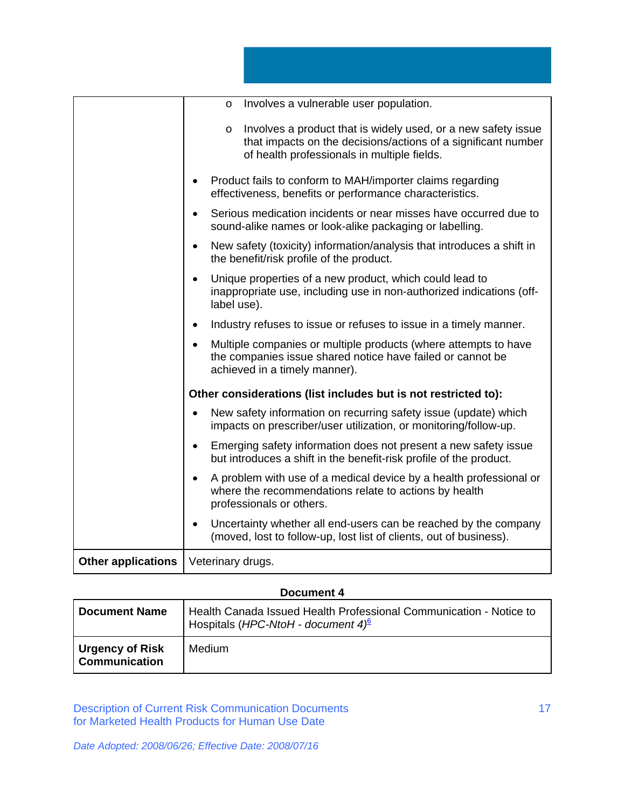|                           | Involves a vulnerable user population.<br>$\circ$                                                                                                                                        |
|---------------------------|------------------------------------------------------------------------------------------------------------------------------------------------------------------------------------------|
|                           | Involves a product that is widely used, or a new safety issue<br>$\circ$<br>that impacts on the decisions/actions of a significant number<br>of health professionals in multiple fields. |
|                           | Product fails to conform to MAH/importer claims regarding<br>effectiveness, benefits or performance characteristics.                                                                     |
|                           | Serious medication incidents or near misses have occurred due to<br>sound-alike names or look-alike packaging or labelling.                                                              |
|                           | New safety (toxicity) information/analysis that introduces a shift in<br>the benefit/risk profile of the product.                                                                        |
|                           | Unique properties of a new product, which could lead to<br>inappropriate use, including use in non-authorized indications (off-<br>label use).                                           |
|                           | Industry refuses to issue or refuses to issue in a timely manner.                                                                                                                        |
|                           | Multiple companies or multiple products (where attempts to have<br>the companies issue shared notice have failed or cannot be<br>achieved in a timely manner).                           |
|                           | Other considerations (list includes but is not restricted to):                                                                                                                           |
|                           | New safety information on recurring safety issue (update) which<br>impacts on prescriber/user utilization, or monitoring/follow-up.                                                      |
|                           | Emerging safety information does not present a new safety issue<br>but introduces a shift in the benefit-risk profile of the product.                                                    |
|                           | A problem with use of a medical device by a health professional or<br>$\bullet$<br>where the recommendations relate to actions by health<br>professionals or others.                     |
|                           | Uncertainty whether all end-users can be reached by the company<br>(moved, lost to follow-up, lost list of clients, out of business).                                                    |
| <b>Other applications</b> | Veterinary drugs.                                                                                                                                                                        |
|                           |                                                                                                                                                                                          |

# **Document 4**

| <b>Document Name</b>                           | Health Canada Issued Health Professional Communication - Notice to<br>Hospitals (HPC-NtoH - document $4^6$ ) |
|------------------------------------------------|--------------------------------------------------------------------------------------------------------------|
| <b>Urgency of Risk</b><br><b>Communication</b> | <b>Medium</b>                                                                                                |

Description of Current Risk Communication Documents for Marketed Health Products for Human Use Date

*Date Adopted: 2008/06/26; Effective Date: 2008/07/16*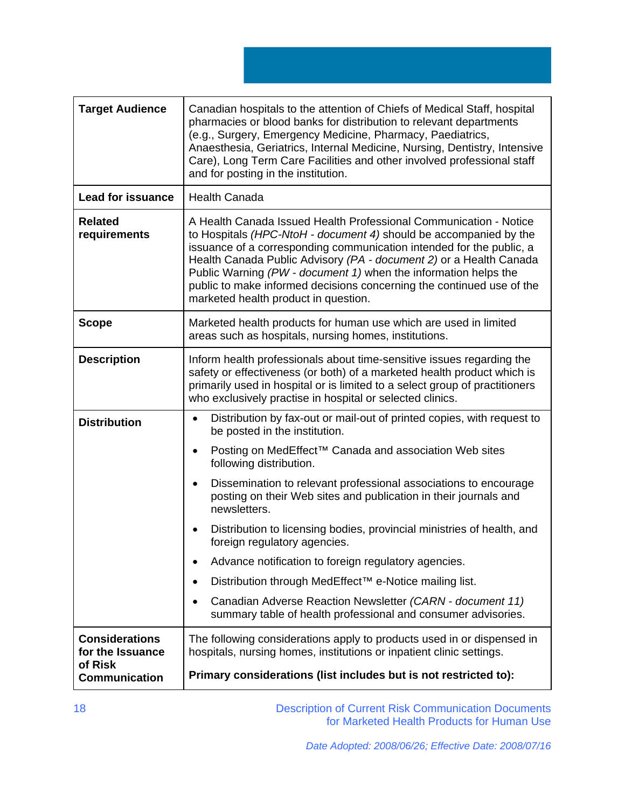| <b>Target Audience</b>                                                       | Canadian hospitals to the attention of Chiefs of Medical Staff, hospital<br>pharmacies or blood banks for distribution to relevant departments<br>(e.g., Surgery, Emergency Medicine, Pharmacy, Paediatrics,<br>Anaesthesia, Geriatrics, Internal Medicine, Nursing, Dentistry, Intensive<br>Care), Long Term Care Facilities and other involved professional staff<br>and for posting in the institution.                                                               |
|------------------------------------------------------------------------------|--------------------------------------------------------------------------------------------------------------------------------------------------------------------------------------------------------------------------------------------------------------------------------------------------------------------------------------------------------------------------------------------------------------------------------------------------------------------------|
| <b>Lead for issuance</b>                                                     | <b>Health Canada</b>                                                                                                                                                                                                                                                                                                                                                                                                                                                     |
| <b>Related</b><br>requirements                                               | A Health Canada Issued Health Professional Communication - Notice<br>to Hospitals (HPC-NtoH - document 4) should be accompanied by the<br>issuance of a corresponding communication intended for the public, a<br>Health Canada Public Advisory (PA - document 2) or a Health Canada<br>Public Warning (PW - document 1) when the information helps the<br>public to make informed decisions concerning the continued use of the<br>marketed health product in question. |
| <b>Scope</b>                                                                 | Marketed health products for human use which are used in limited<br>areas such as hospitals, nursing homes, institutions.                                                                                                                                                                                                                                                                                                                                                |
| <b>Description</b>                                                           | Inform health professionals about time-sensitive issues regarding the<br>safety or effectiveness (or both) of a marketed health product which is<br>primarily used in hospital or is limited to a select group of practitioners<br>who exclusively practise in hospital or selected clinics.                                                                                                                                                                             |
| <b>Distribution</b>                                                          | Distribution by fax-out or mail-out of printed copies, with request to<br>$\bullet$<br>be posted in the institution.                                                                                                                                                                                                                                                                                                                                                     |
|                                                                              | Posting on MedEffect <sup>™</sup> Canada and association Web sites<br>$\bullet$<br>following distribution.                                                                                                                                                                                                                                                                                                                                                               |
|                                                                              | Dissemination to relevant professional associations to encourage<br>$\bullet$<br>posting on their Web sites and publication in their journals and<br>newsletters.                                                                                                                                                                                                                                                                                                        |
|                                                                              | Distribution to licensing bodies, provincial ministries of health, and<br>foreign regulatory agencies.                                                                                                                                                                                                                                                                                                                                                                   |
|                                                                              | Advance notification to foreign regulatory agencies.                                                                                                                                                                                                                                                                                                                                                                                                                     |
|                                                                              | Distribution through MedEffect <sup>™</sup> e-Notice mailing list.<br>$\bullet$                                                                                                                                                                                                                                                                                                                                                                                          |
|                                                                              | Canadian Adverse Reaction Newsletter (CARN - document 11)<br>$\bullet$<br>summary table of health professional and consumer advisories.                                                                                                                                                                                                                                                                                                                                  |
| <b>Considerations</b><br>for the Issuance<br>of Risk<br><b>Communication</b> | The following considerations apply to products used in or dispensed in<br>hospitals, nursing homes, institutions or inpatient clinic settings.<br>Primary considerations (list includes but is not restricted to):                                                                                                                                                                                                                                                       |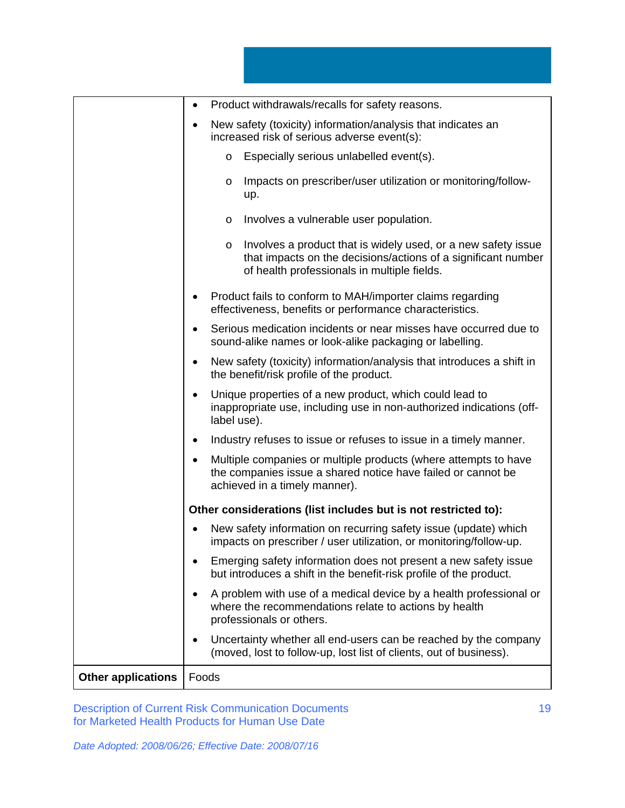|                           | Product withdrawals/recalls for safety reasons.<br>$\bullet$                                                                                                                       |
|---------------------------|------------------------------------------------------------------------------------------------------------------------------------------------------------------------------------|
|                           | New safety (toxicity) information/analysis that indicates an<br>٠<br>increased risk of serious adverse event(s):                                                                   |
|                           | Especially serious unlabelled event(s).<br>$\circ$                                                                                                                                 |
|                           | Impacts on prescriber/user utilization or monitoring/follow-<br>O<br>up.                                                                                                           |
|                           | Involves a vulnerable user population.<br>$\circ$                                                                                                                                  |
|                           | Involves a product that is widely used, or a new safety issue<br>O<br>that impacts on the decisions/actions of a significant number<br>of health professionals in multiple fields. |
|                           | Product fails to conform to MAH/importer claims regarding<br>effectiveness, benefits or performance characteristics.                                                               |
|                           | Serious medication incidents or near misses have occurred due to<br>$\bullet$<br>sound-alike names or look-alike packaging or labelling.                                           |
|                           | New safety (toxicity) information/analysis that introduces a shift in<br>٠<br>the benefit/risk profile of the product.                                                             |
|                           | Unique properties of a new product, which could lead to<br>٠<br>inappropriate use, including use in non-authorized indications (off-<br>label use).                                |
|                           | Industry refuses to issue or refuses to issue in a timely manner.                                                                                                                  |
|                           | Multiple companies or multiple products (where attempts to have<br>the companies issue a shared notice have failed or cannot be<br>achieved in a timely manner).                   |
|                           | Other considerations (list includes but is not restricted to):                                                                                                                     |
|                           | New safety information on recurring safety issue (update) which<br>impacts on prescriber / user utilization, or monitoring/follow-up.                                              |
|                           | Emerging safety information does not present a new safety issue<br>but introduces a shift in the benefit-risk profile of the product.                                              |
|                           | A problem with use of a medical device by a health professional or<br>where the recommendations relate to actions by health<br>professionals or others.                            |
|                           | Uncertainty whether all end-users can be reached by the company<br>$\bullet$<br>(moved, lost to follow-up, lost list of clients, out of business).                                 |
| <b>Other applications</b> | Foods                                                                                                                                                                              |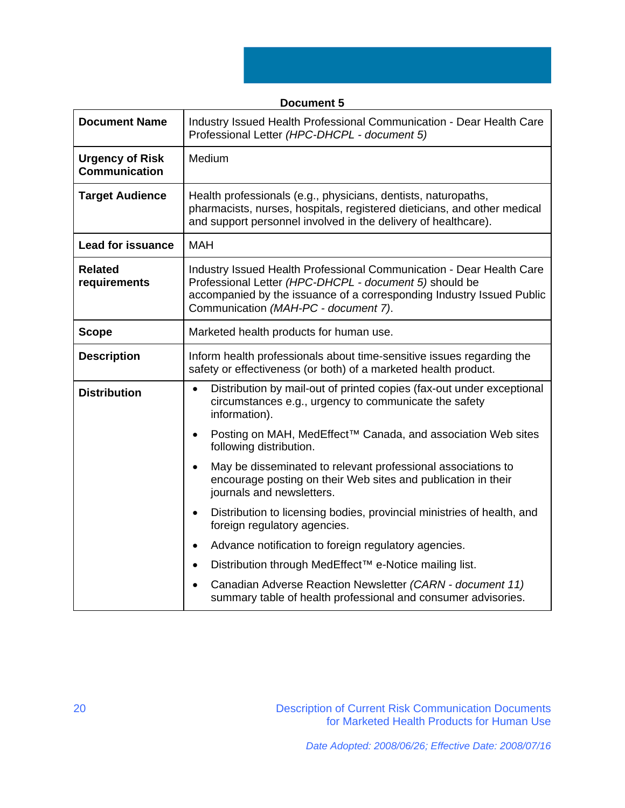| <b>Document 5</b>                              |                                                                                                                                                                                                                                                 |
|------------------------------------------------|-------------------------------------------------------------------------------------------------------------------------------------------------------------------------------------------------------------------------------------------------|
| <b>Document Name</b>                           | Industry Issued Health Professional Communication - Dear Health Care<br>Professional Letter (HPC-DHCPL - document 5)                                                                                                                            |
| <b>Urgency of Risk</b><br><b>Communication</b> | Medium                                                                                                                                                                                                                                          |
| <b>Target Audience</b>                         | Health professionals (e.g., physicians, dentists, naturopaths,<br>pharmacists, nurses, hospitals, registered dieticians, and other medical<br>and support personnel involved in the delivery of healthcare).                                    |
| <b>Lead for issuance</b>                       | <b>MAH</b>                                                                                                                                                                                                                                      |
| <b>Related</b><br>requirements                 | Industry Issued Health Professional Communication - Dear Health Care<br>Professional Letter (HPC-DHCPL - document 5) should be<br>accompanied by the issuance of a corresponding Industry Issued Public<br>Communication (MAH-PC - document 7). |
| <b>Scope</b>                                   | Marketed health products for human use.                                                                                                                                                                                                         |
| <b>Description</b>                             | Inform health professionals about time-sensitive issues regarding the<br>safety or effectiveness (or both) of a marketed health product.                                                                                                        |
| <b>Distribution</b>                            | Distribution by mail-out of printed copies (fax-out under exceptional<br>$\bullet$<br>circumstances e.g., urgency to communicate the safety<br>information).                                                                                    |
|                                                | Posting on MAH, MedEffect™ Canada, and association Web sites<br>following distribution.                                                                                                                                                         |
|                                                | May be disseminated to relevant professional associations to<br>$\bullet$<br>encourage posting on their Web sites and publication in their<br>journals and newsletters.                                                                         |
|                                                | Distribution to licensing bodies, provincial ministries of health, and<br>$\bullet$<br>foreign regulatory agencies.                                                                                                                             |
|                                                | Advance notification to foreign regulatory agencies.<br>$\bullet$                                                                                                                                                                               |
|                                                | Distribution through MedEffect <sup>™</sup> e-Notice mailing list.                                                                                                                                                                              |
|                                                | Canadian Adverse Reaction Newsletter (CARN - document 11)<br>summary table of health professional and consumer advisories.                                                                                                                      |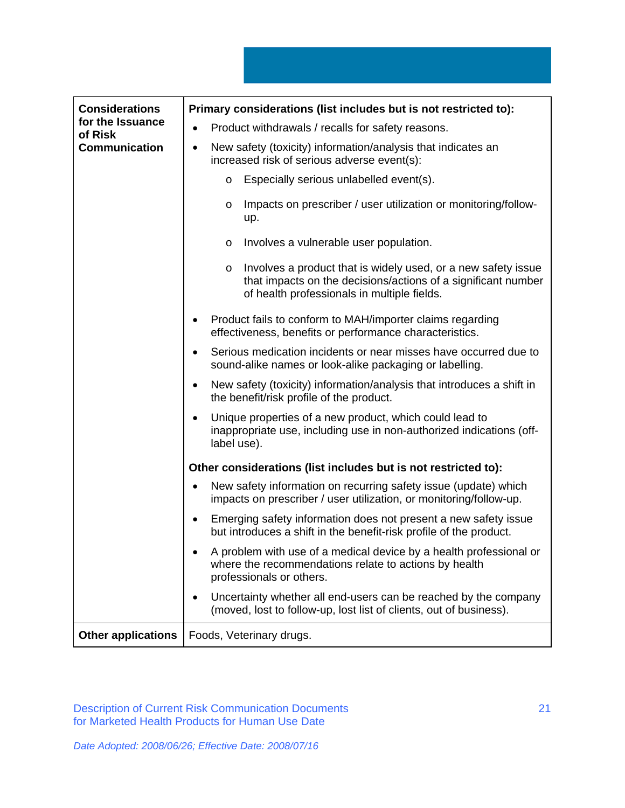| <b>Considerations</b>       | Primary considerations (list includes but is not restricted to):                                                                                                                         |
|-----------------------------|------------------------------------------------------------------------------------------------------------------------------------------------------------------------------------------|
| for the Issuance<br>of Risk | Product withdrawals / recalls for safety reasons.                                                                                                                                        |
| <b>Communication</b>        | New safety (toxicity) information/analysis that indicates an<br>$\bullet$<br>increased risk of serious adverse event(s):                                                                 |
|                             | Especially serious unlabelled event(s).<br>$\circ$                                                                                                                                       |
|                             | Impacts on prescriber / user utilization or monitoring/follow-<br>$\circ$<br>up.                                                                                                         |
|                             | Involves a vulnerable user population.<br>$\circ$                                                                                                                                        |
|                             | Involves a product that is widely used, or a new safety issue<br>$\circ$<br>that impacts on the decisions/actions of a significant number<br>of health professionals in multiple fields. |
|                             | Product fails to conform to MAH/importer claims regarding<br>effectiveness, benefits or performance characteristics.                                                                     |
|                             | Serious medication incidents or near misses have occurred due to<br>٠<br>sound-alike names or look-alike packaging or labelling.                                                         |
|                             | New safety (toxicity) information/analysis that introduces a shift in<br>the benefit/risk profile of the product.                                                                        |
|                             | Unique properties of a new product, which could lead to<br>inappropriate use, including use in non-authorized indications (off-<br>label use).                                           |
|                             | Other considerations (list includes but is not restricted to):                                                                                                                           |
|                             | New safety information on recurring safety issue (update) which<br>impacts on prescriber / user utilization, or monitoring/follow-up.                                                    |
|                             | Emerging safety information does not present a new safety issue<br>٠<br>but introduces a shift in the benefit-risk profile of the product.                                               |
|                             | A problem with use of a medical device by a health professional or<br>where the recommendations relate to actions by health<br>professionals or others.                                  |
|                             | Uncertainty whether all end-users can be reached by the company<br>٠<br>(moved, lost to follow-up, lost list of clients, out of business).                                               |
| <b>Other applications</b>   | Foods, Veterinary drugs.                                                                                                                                                                 |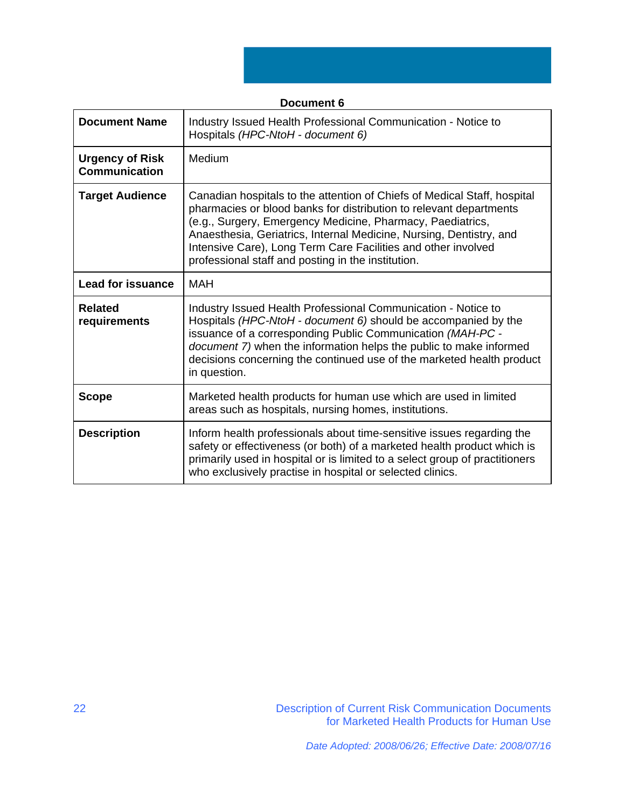| <b>Document 6</b>                              |                                                                                                                                                                                                                                                                                                                                                                                                            |
|------------------------------------------------|------------------------------------------------------------------------------------------------------------------------------------------------------------------------------------------------------------------------------------------------------------------------------------------------------------------------------------------------------------------------------------------------------------|
| <b>Document Name</b>                           | Industry Issued Health Professional Communication - Notice to<br>Hospitals (HPC-NtoH - document 6)                                                                                                                                                                                                                                                                                                         |
| <b>Urgency of Risk</b><br><b>Communication</b> | Medium                                                                                                                                                                                                                                                                                                                                                                                                     |
| <b>Target Audience</b>                         | Canadian hospitals to the attention of Chiefs of Medical Staff, hospital<br>pharmacies or blood banks for distribution to relevant departments<br>(e.g., Surgery, Emergency Medicine, Pharmacy, Paediatrics,<br>Anaesthesia, Geriatrics, Internal Medicine, Nursing, Dentistry, and<br>Intensive Care), Long Term Care Facilities and other involved<br>professional staff and posting in the institution. |
| <b>Lead for issuance</b>                       | <b>MAH</b>                                                                                                                                                                                                                                                                                                                                                                                                 |
| <b>Related</b><br>requirements                 | Industry Issued Health Professional Communication - Notice to<br>Hospitals (HPC-NtoH - document 6) should be accompanied by the<br>issuance of a corresponding Public Communication (MAH-PC -<br>document 7) when the information helps the public to make informed<br>decisions concerning the continued use of the marketed health product<br>in question.                                               |
| <b>Scope</b>                                   | Marketed health products for human use which are used in limited<br>areas such as hospitals, nursing homes, institutions.                                                                                                                                                                                                                                                                                  |
| <b>Description</b>                             | Inform health professionals about time-sensitive issues regarding the<br>safety or effectiveness (or both) of a marketed health product which is<br>primarily used in hospital or is limited to a select group of practitioners<br>who exclusively practise in hospital or selected clinics.                                                                                                               |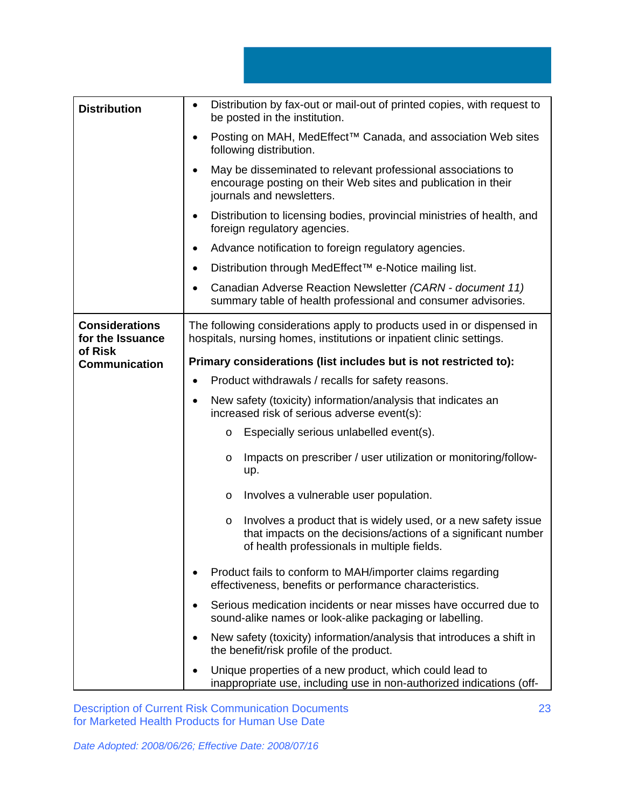| <b>Distribution</b>                       | Distribution by fax-out or mail-out of printed copies, with request to<br>$\bullet$<br>be posted in the institution.                                                               |
|-------------------------------------------|------------------------------------------------------------------------------------------------------------------------------------------------------------------------------------|
|                                           | Posting on MAH, MedEffect™ Canada, and association Web sites<br>$\bullet$<br>following distribution.                                                                               |
|                                           | May be disseminated to relevant professional associations to<br>encourage posting on their Web sites and publication in their<br>journals and newsletters.                         |
|                                           | Distribution to licensing bodies, provincial ministries of health, and<br>foreign regulatory agencies.                                                                             |
|                                           | Advance notification to foreign regulatory agencies.<br>٠                                                                                                                          |
|                                           | Distribution through MedEffect™ e-Notice mailing list.                                                                                                                             |
|                                           | Canadian Adverse Reaction Newsletter (CARN - document 11)<br>summary table of health professional and consumer advisories.                                                         |
| <b>Considerations</b><br>for the Issuance | The following considerations apply to products used in or dispensed in<br>hospitals, nursing homes, institutions or inpatient clinic settings.                                     |
| of Risk<br><b>Communication</b>           | Primary considerations (list includes but is not restricted to):                                                                                                                   |
|                                           | Product withdrawals / recalls for safety reasons.<br>$\bullet$                                                                                                                     |
|                                           | New safety (toxicity) information/analysis that indicates an<br>$\bullet$<br>increased risk of serious adverse event(s):                                                           |
|                                           | Especially serious unlabelled event(s).<br>$\circ$                                                                                                                                 |
|                                           | Impacts on prescriber / user utilization or monitoring/follow-<br>O<br>up.                                                                                                         |
|                                           | Involves a vulnerable user population.<br>O                                                                                                                                        |
|                                           | Involves a product that is widely used, or a new safety issue<br>O<br>that impacts on the decisions/actions of a significant number<br>of health professionals in multiple fields. |
|                                           | Product fails to conform to MAH/importer claims regarding<br>effectiveness, benefits or performance characteristics.                                                               |
|                                           | Serious medication incidents or near misses have occurred due to<br>sound-alike names or look-alike packaging or labelling.                                                        |
|                                           | New safety (toxicity) information/analysis that introduces a shift in<br>the benefit/risk profile of the product.                                                                  |
|                                           | Unique properties of a new product, which could lead to<br>inappropriate use, including use in non-authorized indications (off-                                                    |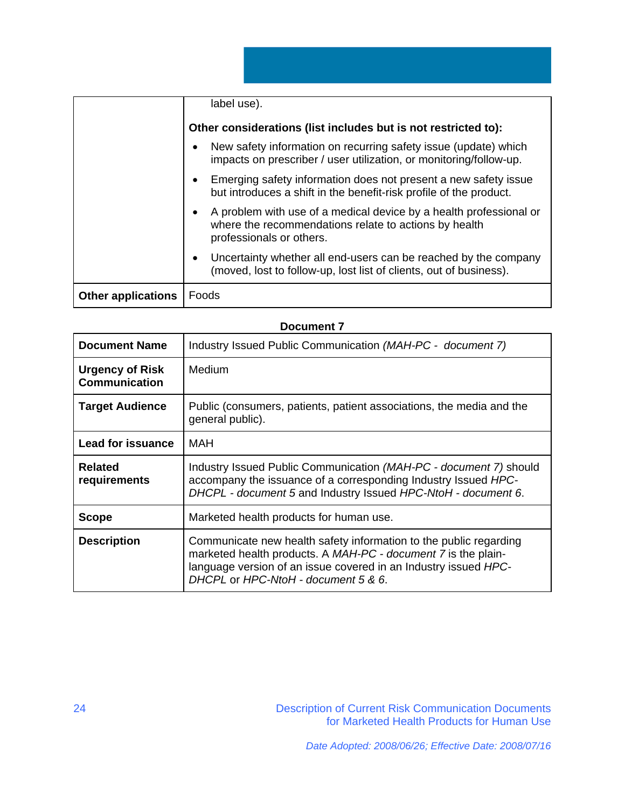|                           | label use).                                                                                                                                             |
|---------------------------|---------------------------------------------------------------------------------------------------------------------------------------------------------|
|                           | Other considerations (list includes but is not restricted to):                                                                                          |
|                           | New safety information on recurring safety issue (update) which<br>impacts on prescriber / user utilization, or monitoring/follow-up.                   |
|                           | Emerging safety information does not present a new safety issue<br>but introduces a shift in the benefit-risk profile of the product.                   |
|                           | A problem with use of a medical device by a health professional or<br>where the recommendations relate to actions by health<br>professionals or others. |
|                           | Uncertainty whether all end-users can be reached by the company<br>(moved, lost to follow-up, lost list of clients, out of business).                   |
| <b>Other applications</b> | Foods                                                                                                                                                   |

|                                                | росипсті І                                                                                                                                                                                                                                   |
|------------------------------------------------|----------------------------------------------------------------------------------------------------------------------------------------------------------------------------------------------------------------------------------------------|
| <b>Document Name</b>                           | Industry Issued Public Communication (MAH-PC - document 7)                                                                                                                                                                                   |
| <b>Urgency of Risk</b><br><b>Communication</b> | Medium                                                                                                                                                                                                                                       |
| <b>Target Audience</b>                         | Public (consumers, patients, patient associations, the media and the<br>general public).                                                                                                                                                     |
| <b>Lead for issuance</b>                       | MAH                                                                                                                                                                                                                                          |
| <b>Related</b><br>requirements                 | Industry Issued Public Communication (MAH-PC - document 7) should<br>accompany the issuance of a corresponding Industry Issued HPC-<br>DHCPL - document 5 and Industry Issued HPC-NtoH - document 6.                                         |
| <b>Scope</b>                                   | Marketed health products for human use.                                                                                                                                                                                                      |
| <b>Description</b>                             | Communicate new health safety information to the public regarding<br>marketed health products. A MAH-PC - document 7 is the plain-<br>language version of an issue covered in an Industry issued HPC-<br>DHCPL or HPC-NtoH - document 5 & 6. |

# **Document 7**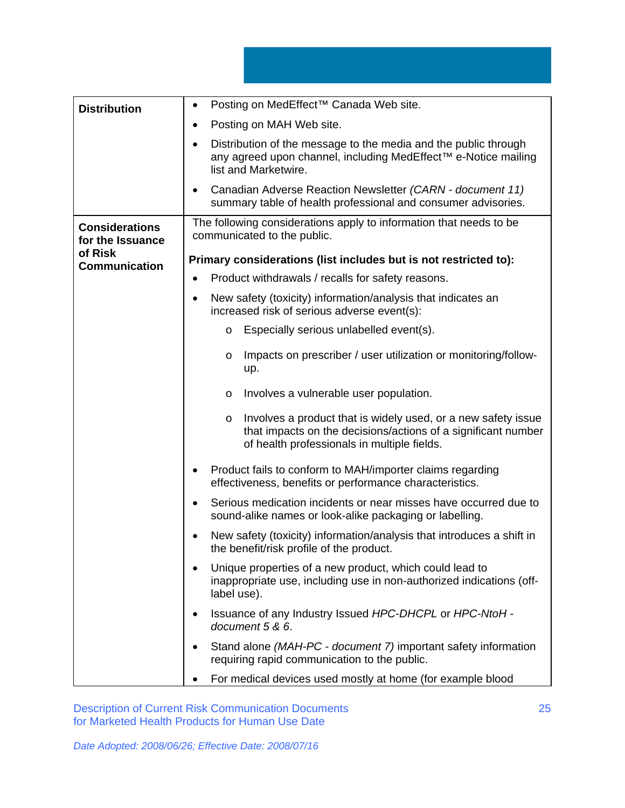| <b>Distribution</b>                       | Posting on MedEffect™ Canada Web site.<br>$\bullet$                                                                                                                                |
|-------------------------------------------|------------------------------------------------------------------------------------------------------------------------------------------------------------------------------------|
|                                           | Posting on MAH Web site.<br>٠                                                                                                                                                      |
|                                           | Distribution of the message to the media and the public through<br>$\bullet$<br>any agreed upon channel, including MedEffect™ e-Notice mailing<br>list and Marketwire.             |
|                                           | Canadian Adverse Reaction Newsletter (CARN - document 11)<br>summary table of health professional and consumer advisories.                                                         |
| <b>Considerations</b><br>for the Issuance | The following considerations apply to information that needs to be<br>communicated to the public.                                                                                  |
| of Risk<br><b>Communication</b>           | Primary considerations (list includes but is not restricted to):                                                                                                                   |
|                                           | Product withdrawals / recalls for safety reasons.                                                                                                                                  |
|                                           | New safety (toxicity) information/analysis that indicates an<br>٠<br>increased risk of serious adverse event(s):                                                                   |
|                                           | Especially serious unlabelled event(s).<br>O                                                                                                                                       |
|                                           | Impacts on prescriber / user utilization or monitoring/follow-<br>O<br>up.                                                                                                         |
|                                           | Involves a vulnerable user population.<br>$\circ$                                                                                                                                  |
|                                           | Involves a product that is widely used, or a new safety issue<br>O<br>that impacts on the decisions/actions of a significant number<br>of health professionals in multiple fields. |
|                                           | Product fails to conform to MAH/importer claims regarding<br>٠<br>effectiveness, benefits or performance characteristics.                                                          |
|                                           | Serious medication incidents or near misses have occurred due to<br>$\bullet$<br>sound-alike names or look-alike packaging or labelling.                                           |
|                                           | New safety (toxicity) information/analysis that introduces a shift in<br>the benefit/risk profile of the product.                                                                  |
|                                           | Unique properties of a new product, which could lead to<br>inappropriate use, including use in non-authorized indications (off-<br>label use).                                     |
|                                           | Issuance of any Industry Issued HPC-DHCPL or HPC-NtoH -<br>document 5 & 6.                                                                                                         |
|                                           | Stand alone (MAH-PC - document 7) important safety information<br>requiring rapid communication to the public.                                                                     |
|                                           | For medical devices used mostly at home (for example blood                                                                                                                         |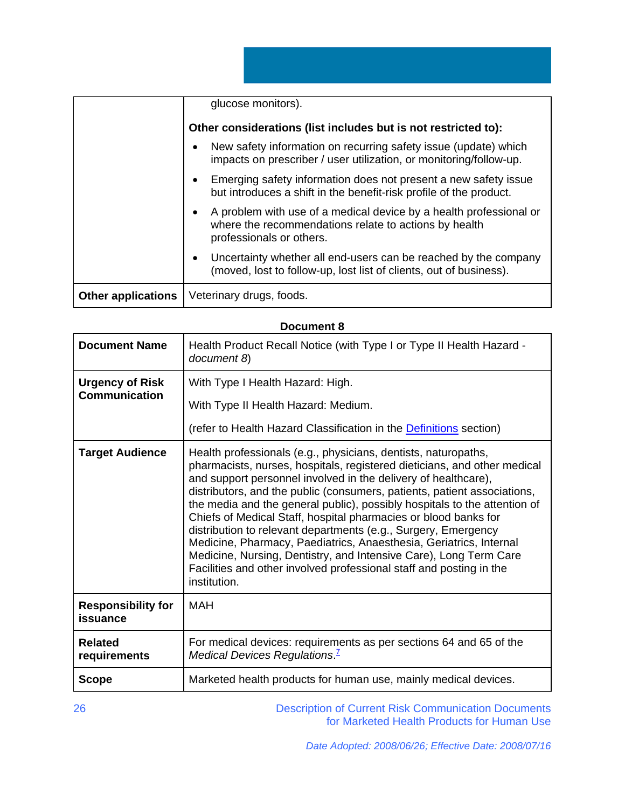|                           | glucose monitors).                                                                                                                                      |
|---------------------------|---------------------------------------------------------------------------------------------------------------------------------------------------------|
|                           | Other considerations (list includes but is not restricted to):                                                                                          |
|                           | New safety information on recurring safety issue (update) which<br>impacts on prescriber / user utilization, or monitoring/follow-up.                   |
|                           | Emerging safety information does not present a new safety issue<br>but introduces a shift in the benefit-risk profile of the product.                   |
|                           | A problem with use of a medical device by a health professional or<br>where the recommendations relate to actions by health<br>professionals or others. |
|                           | Uncertainty whether all end-users can be reached by the company<br>(moved, lost to follow-up, lost list of clients, out of business).                   |
| <b>Other applications</b> | Veterinary drugs, foods.                                                                                                                                |

# **Document 8**

| <b>Document Name</b>                  | Health Product Recall Notice (with Type I or Type II Health Hazard -<br>document 8)                                                                                                                                                                                                                                                                                                                                                                                                                                                                                                                                                                                                                                                          |
|---------------------------------------|----------------------------------------------------------------------------------------------------------------------------------------------------------------------------------------------------------------------------------------------------------------------------------------------------------------------------------------------------------------------------------------------------------------------------------------------------------------------------------------------------------------------------------------------------------------------------------------------------------------------------------------------------------------------------------------------------------------------------------------------|
| <b>Urgency of Risk</b>                | With Type I Health Hazard: High.                                                                                                                                                                                                                                                                                                                                                                                                                                                                                                                                                                                                                                                                                                             |
| <b>Communication</b>                  | With Type II Health Hazard: Medium.                                                                                                                                                                                                                                                                                                                                                                                                                                                                                                                                                                                                                                                                                                          |
|                                       | (refer to Health Hazard Classification in the <b>Definitions</b> section)                                                                                                                                                                                                                                                                                                                                                                                                                                                                                                                                                                                                                                                                    |
| <b>Target Audience</b>                | Health professionals (e.g., physicians, dentists, naturopaths,<br>pharmacists, nurses, hospitals, registered dieticians, and other medical<br>and support personnel involved in the delivery of healthcare),<br>distributors, and the public (consumers, patients, patient associations,<br>the media and the general public), possibly hospitals to the attention of<br>Chiefs of Medical Staff, hospital pharmacies or blood banks for<br>distribution to relevant departments (e.g., Surgery, Emergency<br>Medicine, Pharmacy, Paediatrics, Anaesthesia, Geriatrics, Internal<br>Medicine, Nursing, Dentistry, and Intensive Care), Long Term Care<br>Facilities and other involved professional staff and posting in the<br>institution. |
| <b>Responsibility for</b><br>issuance | <b>MAH</b>                                                                                                                                                                                                                                                                                                                                                                                                                                                                                                                                                                                                                                                                                                                                   |
| <b>Related</b><br>requirements        | For medical devices: requirements as per sections 64 and 65 of the<br>Medical Devices Regulations. <sup>1</sup>                                                                                                                                                                                                                                                                                                                                                                                                                                                                                                                                                                                                                              |
| <b>Scope</b>                          | Marketed health products for human use, mainly medical devices.                                                                                                                                                                                                                                                                                                                                                                                                                                                                                                                                                                                                                                                                              |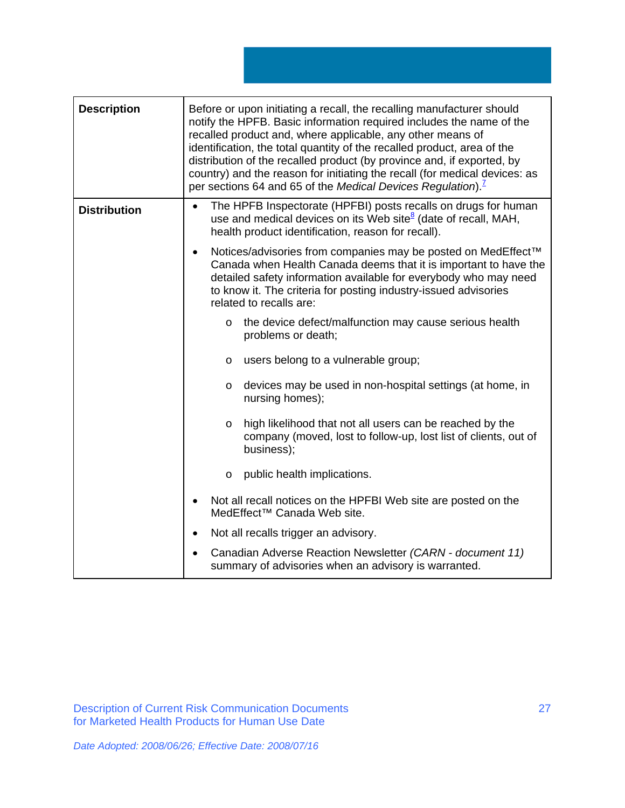**Description Before or upon initiating a recall, the recalling manufacturer should** notify the HPFB. Basic information required includes the name of the recalled product and, where applicable, any other means of identification, the total quantity of the recalled product, area of the distribution of the recalled product (by province and, if exported, by country) and the reason for initiating the recall (for medical devices: as per sections 64 and 65 of the *Medical Devices Regulation*).<sup>7</sup> **Distribution •** The HPFB Inspectorate (HPFBI) posts recalls on drugs for human use and medical devices on its Web site<sup>8</sup> (date of recall, MAH, health product identification, reason for recall). • Notices/advisories from companies may be posted on MedEffect<sup>™</sup> Canada when Health Canada deems that it is important to have the detailed safety information available for everybody who may need to know it. The criteria for posting industry-issued advisories related to recalls are: o the device defect/malfunction may cause serious health problems or death; o users belong to a vulnerable group; o devices may be used in non-hospital settings (at home, in nursing homes); o high likelihood that not all users can be reached by the company (moved, lost to follow-up, lost list of clients, out of business); o public health implications. • Not all recall notices on the HPFBI Web site are posted on the MedEffect™ Canada Web site. • Not all recalls trigger an advisory. • Canadian Adverse Reaction Newsletter *(CARN - document 11)* summary of advisories when an advisory is warranted.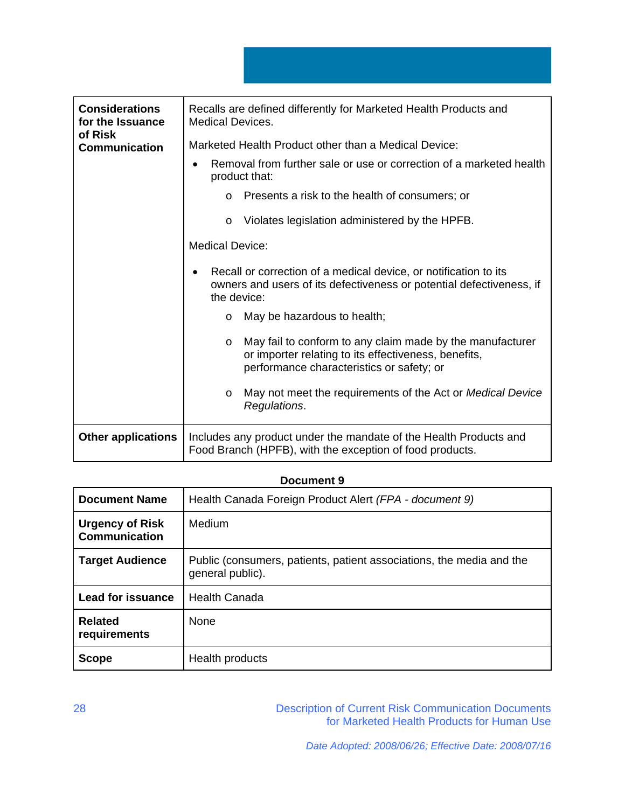| <b>Considerations</b><br>for the Issuance<br>of Risk | Recalls are defined differently for Marketed Health Products and<br>Medical Devices.                                                                                      |
|------------------------------------------------------|---------------------------------------------------------------------------------------------------------------------------------------------------------------------------|
| <b>Communication</b>                                 | Marketed Health Product other than a Medical Device:                                                                                                                      |
|                                                      | Removal from further sale or use or correction of a marketed health<br>product that:                                                                                      |
|                                                      | Presents a risk to the health of consumers; or<br>$\Omega$                                                                                                                |
|                                                      | Violates legislation administered by the HPFB.<br>$\circ$                                                                                                                 |
|                                                      | <b>Medical Device:</b>                                                                                                                                                    |
|                                                      | Recall or correction of a medical device, or notification to its<br>owners and users of its defectiveness or potential defectiveness, if<br>the device:                   |
|                                                      | May be hazardous to health;<br>$\circ$                                                                                                                                    |
|                                                      | May fail to conform to any claim made by the manufacturer<br>$\circ$<br>or importer relating to its effectiveness, benefits,<br>performance characteristics or safety; or |
|                                                      | May not meet the requirements of the Act or Medical Device<br>$\circ$<br>Regulations.                                                                                     |
| <b>Other applications</b>                            | Includes any product under the mandate of the Health Products and<br>Food Branch (HPFB), with the exception of food products.                                             |

# **Document 9**

| <b>Document Name</b>                           | Health Canada Foreign Product Alert (FPA - document 9)                                   |
|------------------------------------------------|------------------------------------------------------------------------------------------|
| <b>Urgency of Risk</b><br><b>Communication</b> | Medium                                                                                   |
| <b>Target Audience</b>                         | Public (consumers, patients, patient associations, the media and the<br>general public). |
| <b>Lead for issuance</b>                       | <b>Health Canada</b>                                                                     |
| <b>Related</b><br>requirements                 | <b>None</b>                                                                              |
| <b>Scope</b>                                   | Health products                                                                          |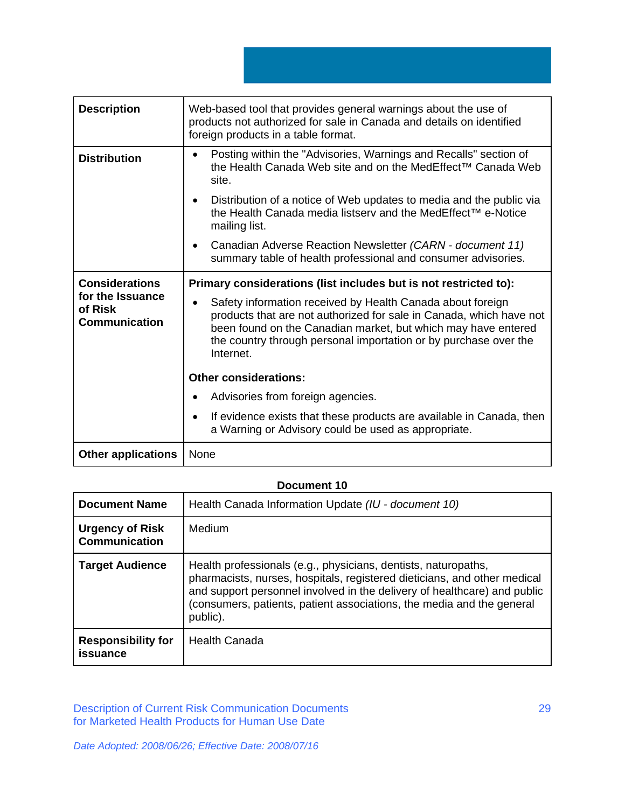**Description Web-based tool that provides general warnings about the use of** products not authorized for sale in Canada and details on identified foreign products in a table format. **Distribution |** • Posting within the "Advisories, Warnings and Recalls" section of the Health Canada Web site and on the MedEffect™ Canada Web site. • Distribution of a notice of Web updates to media and the public via the Health Canada media listserv and the MedEffect™ e-Notice mailing list. • Canadian Adverse Reaction Newsletter *(CARN - document 11)* summary table of health professional and consumer advisories. **Considerations for the Issuance of Risk Communication Primary considerations (list includes but is not restricted to):**  • Safety information received by Health Canada about foreign products that are not authorized for sale in Canada, which have not been found on the Canadian market, but which may have entered the country through personal importation or by purchase over the Internet. **Other considerations:**  • Advisories from foreign agencies. • If evidence exists that these products are available in Canada, then a Warning or Advisory could be used as appropriate.

## **Document 10**

| <b>Document Name</b>                           | Health Canada Information Update (IU - document 10)                                                                                                                                                                                                                                                         |
|------------------------------------------------|-------------------------------------------------------------------------------------------------------------------------------------------------------------------------------------------------------------------------------------------------------------------------------------------------------------|
| <b>Urgency of Risk</b><br><b>Communication</b> | Medium                                                                                                                                                                                                                                                                                                      |
| <b>Target Audience</b>                         | Health professionals (e.g., physicians, dentists, naturopaths,<br>pharmacists, nurses, hospitals, registered dieticians, and other medical<br>and support personnel involved in the delivery of healthcare) and public<br>(consumers, patients, patient associations, the media and the general<br>public). |
| <b>Responsibility for</b><br>issuance          | <b>Health Canada</b>                                                                                                                                                                                                                                                                                        |

Description of Current Risk Communication Documents for Marketed Health Products for Human Use Date

*Date Adopted: 2008/06/26; Effective Date: 2008/07/16* 

**Other applications** | None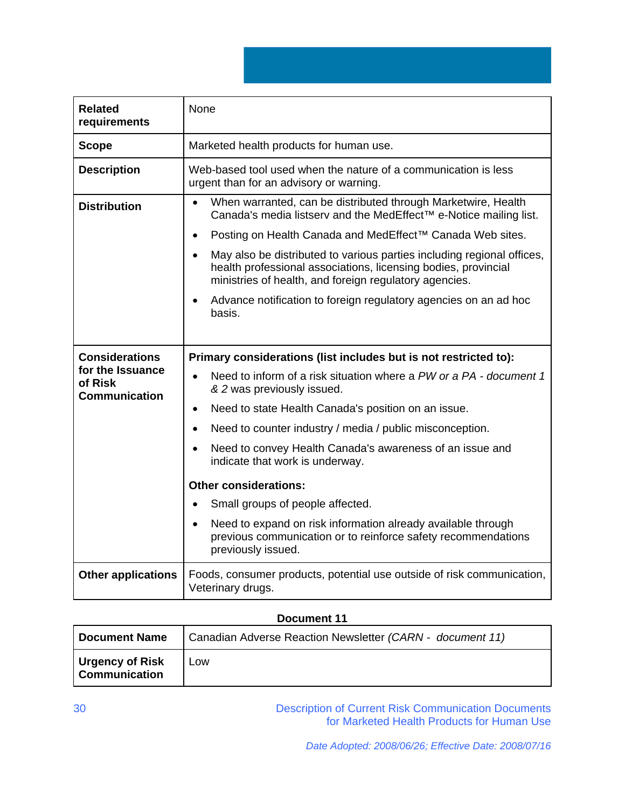**Related requirements**  None **Scope** | Marketed health products for human use. **Description** Web-based tool used when the nature of a communication is less urgent than for an advisory or warning. **Distribution | •** When warranted, can be distributed through Marketwire, Health Canada's media listserv and the MedEffect™ e-Notice mailing list. • Posting on Health Canada and MedEffect™ Canada Web sites. • May also be distributed to various parties including regional offices, health professional associations, licensing bodies, provincial ministries of health, and foreign regulatory agencies. • Advance notification to foreign regulatory agencies on an ad hoc basis. **Considerations for the Issuance of Risk Communication Primary considerations (list includes but is not restricted to):**  • Need to inform of a risk situation where a *PW or a PA - document 1 & 2* was previously issued. • Need to state Health Canada's position on an issue. • Need to counter industry / media / public misconception. • Need to convey Health Canada's awareness of an issue and indicate that work is underway. **Other considerations:**  • Small groups of people affected. Need to expand on risk information already available through previous communication or to reinforce safety recommendations previously issued. **Other applications** Foods, consumer products, potential use outside of risk communication, Veterinary drugs.

# **Document 11**

| <b>Document Name</b>                    | Canadian Adverse Reaction Newsletter (CARN - document 11) |
|-----------------------------------------|-----------------------------------------------------------|
| Urgency of Risk<br><b>Communication</b> | Low                                                       |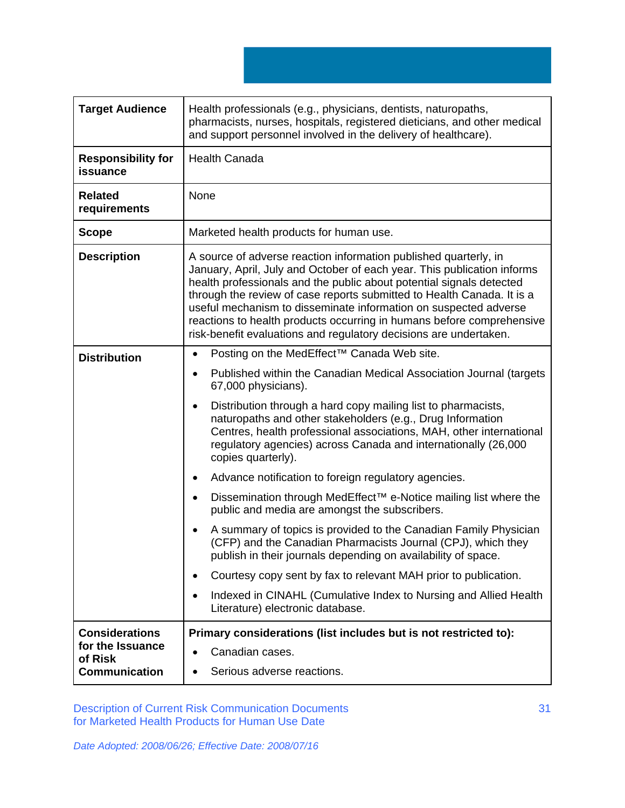| <b>Target Audience</b>                               | Health professionals (e.g., physicians, dentists, naturopaths,<br>pharmacists, nurses, hospitals, registered dieticians, and other medical<br>and support personnel involved in the delivery of healthcare).                                                                                                                                                                                                                                                                                                    |
|------------------------------------------------------|-----------------------------------------------------------------------------------------------------------------------------------------------------------------------------------------------------------------------------------------------------------------------------------------------------------------------------------------------------------------------------------------------------------------------------------------------------------------------------------------------------------------|
| <b>Responsibility for</b><br>issuance                | <b>Health Canada</b>                                                                                                                                                                                                                                                                                                                                                                                                                                                                                            |
| <b>Related</b><br>requirements                       | None                                                                                                                                                                                                                                                                                                                                                                                                                                                                                                            |
| <b>Scope</b>                                         | Marketed health products for human use.                                                                                                                                                                                                                                                                                                                                                                                                                                                                         |
| <b>Description</b>                                   | A source of adverse reaction information published quarterly, in<br>January, April, July and October of each year. This publication informs<br>health professionals and the public about potential signals detected<br>through the review of case reports submitted to Health Canada. It is a<br>useful mechanism to disseminate information on suspected adverse<br>reactions to health products occurring in humans before comprehensive<br>risk-benefit evaluations and regulatory decisions are undertaken. |
| <b>Distribution</b>                                  | Posting on the MedEffect <sup>™</sup> Canada Web site.<br>$\bullet$                                                                                                                                                                                                                                                                                                                                                                                                                                             |
|                                                      | Published within the Canadian Medical Association Journal (targets<br>$\bullet$<br>67,000 physicians).                                                                                                                                                                                                                                                                                                                                                                                                          |
|                                                      | Distribution through a hard copy mailing list to pharmacists,<br>$\bullet$<br>naturopaths and other stakeholders (e.g., Drug Information<br>Centres, health professional associations, MAH, other international<br>regulatory agencies) across Canada and internationally (26,000<br>copies quarterly).                                                                                                                                                                                                         |
|                                                      | Advance notification to foreign regulatory agencies.<br>٠                                                                                                                                                                                                                                                                                                                                                                                                                                                       |
|                                                      | Dissemination through MedEffect <sup>™</sup> e-Notice mailing list where the<br>٠<br>public and media are amongst the subscribers.                                                                                                                                                                                                                                                                                                                                                                              |
|                                                      | A summary of topics is provided to the Canadian Family Physician<br>(CFP) and the Canadian Pharmacists Journal (CPJ), which they<br>publish in their journals depending on availability of space.                                                                                                                                                                                                                                                                                                               |
|                                                      | Courtesy copy sent by fax to relevant MAH prior to publication.                                                                                                                                                                                                                                                                                                                                                                                                                                                 |
|                                                      | Indexed in CINAHL (Cumulative Index to Nursing and Allied Health<br>$\bullet$<br>Literature) electronic database.                                                                                                                                                                                                                                                                                                                                                                                               |
| <b>Considerations</b><br>for the Issuance<br>of Risk | Primary considerations (list includes but is not restricted to):<br>Canadian cases.<br>$\bullet$                                                                                                                                                                                                                                                                                                                                                                                                                |
| <b>Communication</b>                                 | Serious adverse reactions.                                                                                                                                                                                                                                                                                                                                                                                                                                                                                      |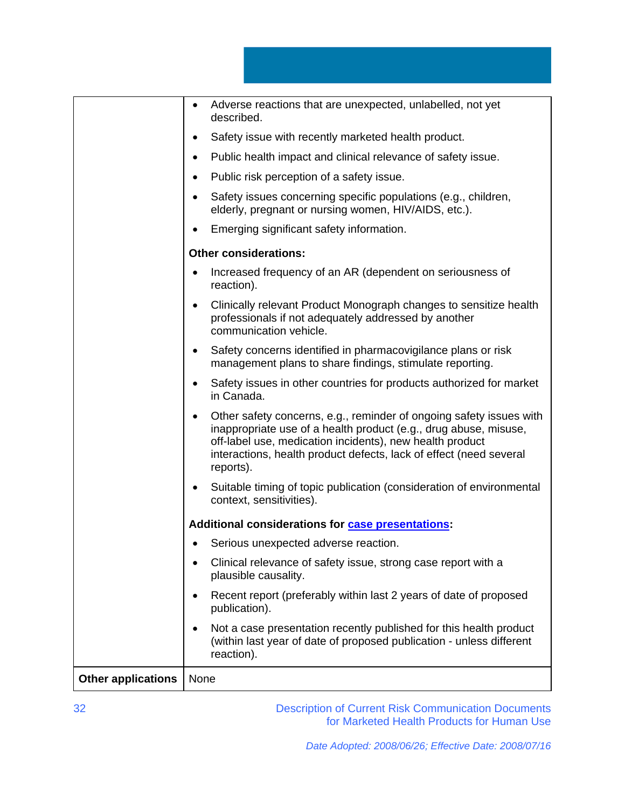|                           | Adverse reactions that are unexpected, unlabelled, not yet<br>described.                                                                                                                                                                                                                            |
|---------------------------|-----------------------------------------------------------------------------------------------------------------------------------------------------------------------------------------------------------------------------------------------------------------------------------------------------|
|                           | Safety issue with recently marketed health product.                                                                                                                                                                                                                                                 |
|                           | Public health impact and clinical relevance of safety issue.                                                                                                                                                                                                                                        |
|                           | Public risk perception of a safety issue.<br>$\bullet$                                                                                                                                                                                                                                              |
|                           | Safety issues concerning specific populations (e.g., children,<br>elderly, pregnant or nursing women, HIV/AIDS, etc.).                                                                                                                                                                              |
|                           | Emerging significant safety information.                                                                                                                                                                                                                                                            |
|                           | <b>Other considerations:</b>                                                                                                                                                                                                                                                                        |
|                           | Increased frequency of an AR (dependent on seriousness of<br>reaction).                                                                                                                                                                                                                             |
|                           | Clinically relevant Product Monograph changes to sensitize health<br>$\bullet$<br>professionals if not adequately addressed by another<br>communication vehicle.                                                                                                                                    |
|                           | Safety concerns identified in pharmacovigilance plans or risk<br>$\bullet$<br>management plans to share findings, stimulate reporting.                                                                                                                                                              |
|                           | Safety issues in other countries for products authorized for market<br>in Canada.                                                                                                                                                                                                                   |
|                           | Other safety concerns, e.g., reminder of ongoing safety issues with<br>$\bullet$<br>inappropriate use of a health product (e.g., drug abuse, misuse,<br>off-label use, medication incidents), new health product<br>interactions, health product defects, lack of effect (need several<br>reports). |
|                           | Suitable timing of topic publication (consideration of environmental<br>$\bullet$<br>context, sensitivities).                                                                                                                                                                                       |
|                           | Additional considerations for case presentations:                                                                                                                                                                                                                                                   |
|                           | • Serious unexpected adverse reaction.                                                                                                                                                                                                                                                              |
|                           | Clinical relevance of safety issue, strong case report with a<br>plausible causality.                                                                                                                                                                                                               |
|                           | Recent report (preferably within last 2 years of date of proposed<br>publication).                                                                                                                                                                                                                  |
|                           | Not a case presentation recently published for this health product<br>(within last year of date of proposed publication - unless different<br>reaction).                                                                                                                                            |
| <b>Other applications</b> | None                                                                                                                                                                                                                                                                                                |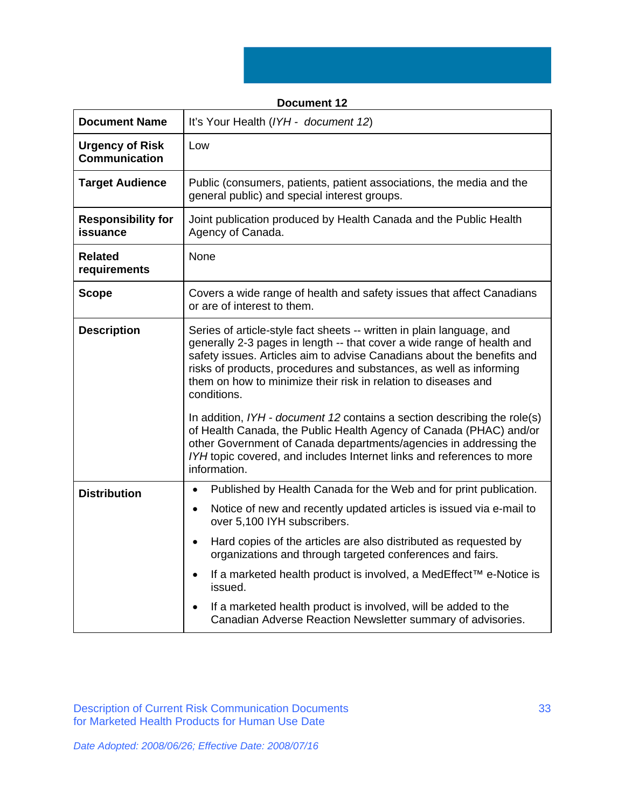| <b>Document Name</b>                           | It's Your Health (IYH - document 12)                                                                                                                                                                                                                                                                                                                                                                                                                                                                                                                                                                                                                                                             |
|------------------------------------------------|--------------------------------------------------------------------------------------------------------------------------------------------------------------------------------------------------------------------------------------------------------------------------------------------------------------------------------------------------------------------------------------------------------------------------------------------------------------------------------------------------------------------------------------------------------------------------------------------------------------------------------------------------------------------------------------------------|
|                                                |                                                                                                                                                                                                                                                                                                                                                                                                                                                                                                                                                                                                                                                                                                  |
| <b>Urgency of Risk</b><br><b>Communication</b> | Low                                                                                                                                                                                                                                                                                                                                                                                                                                                                                                                                                                                                                                                                                              |
| <b>Target Audience</b>                         | Public (consumers, patients, patient associations, the media and the<br>general public) and special interest groups.                                                                                                                                                                                                                                                                                                                                                                                                                                                                                                                                                                             |
| <b>Responsibility for</b><br>issuance          | Joint publication produced by Health Canada and the Public Health<br>Agency of Canada.                                                                                                                                                                                                                                                                                                                                                                                                                                                                                                                                                                                                           |
| <b>Related</b><br>requirements                 | None                                                                                                                                                                                                                                                                                                                                                                                                                                                                                                                                                                                                                                                                                             |
| <b>Scope</b>                                   | Covers a wide range of health and safety issues that affect Canadians<br>or are of interest to them.                                                                                                                                                                                                                                                                                                                                                                                                                                                                                                                                                                                             |
| <b>Description</b>                             | Series of article-style fact sheets -- written in plain language, and<br>generally 2-3 pages in length -- that cover a wide range of health and<br>safety issues. Articles aim to advise Canadians about the benefits and<br>risks of products, procedures and substances, as well as informing<br>them on how to minimize their risk in relation to diseases and<br>conditions.<br>In addition, IYH - document 12 contains a section describing the role(s)<br>of Health Canada, the Public Health Agency of Canada (PHAC) and/or<br>other Government of Canada departments/agencies in addressing the<br>IYH topic covered, and includes Internet links and references to more<br>information. |
| <b>Distribution</b>                            | Published by Health Canada for the Web and for print publication.<br>$\bullet$<br>Notice of new and recently updated articles is issued via e-mail to<br>$\bullet$<br>over 5,100 IYH subscribers.<br>Hard copies of the articles are also distributed as requested by<br>$\bullet$<br>organizations and through targeted conferences and fairs.<br>If a marketed health product is involved, a MedEffect™ e-Notice is<br>$\bullet$<br>issued.<br>If a marketed health product is involved, will be added to the<br>Canadian Adverse Reaction Newsletter summary of advisories.                                                                                                                   |

# **Document 12**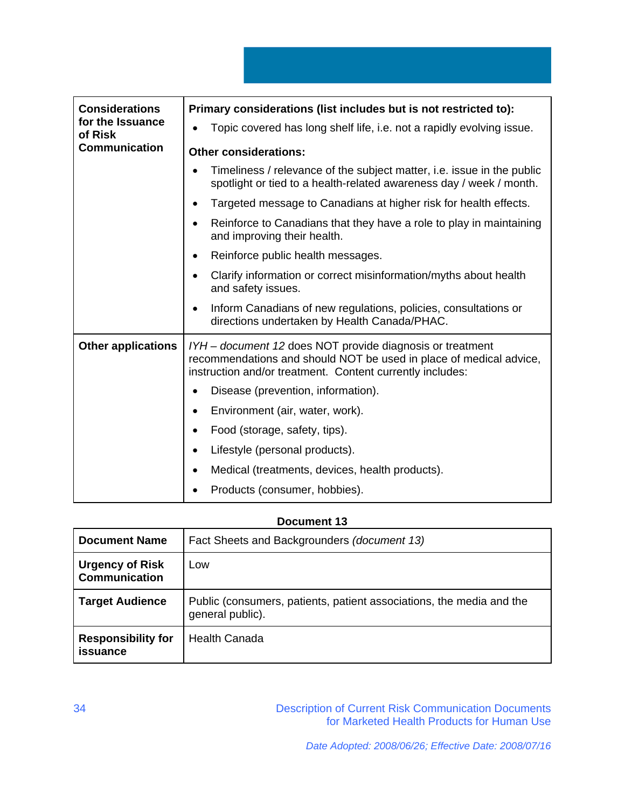| <b>Considerations</b><br>for the Issuance<br>of Risk<br><b>Communication</b> | Primary considerations (list includes but is not restricted to):                                                                                                                             |
|------------------------------------------------------------------------------|----------------------------------------------------------------------------------------------------------------------------------------------------------------------------------------------|
|                                                                              | Topic covered has long shelf life, i.e. not a rapidly evolving issue.                                                                                                                        |
|                                                                              | <b>Other considerations:</b>                                                                                                                                                                 |
|                                                                              | Timeliness / relevance of the subject matter, i.e. issue in the public<br>spotlight or tied to a health-related awareness day / week / month.                                                |
|                                                                              | Targeted message to Canadians at higher risk for health effects.                                                                                                                             |
|                                                                              | Reinforce to Canadians that they have a role to play in maintaining<br>and improving their health.                                                                                           |
|                                                                              | Reinforce public health messages.                                                                                                                                                            |
|                                                                              | Clarify information or correct misinformation/myths about health<br>and safety issues.                                                                                                       |
|                                                                              | Inform Canadians of new regulations, policies, consultations or<br>directions undertaken by Health Canada/PHAC.                                                                              |
| <b>Other applications</b>                                                    | IYH - document 12 does NOT provide diagnosis or treatment<br>recommendations and should NOT be used in place of medical advice,<br>instruction and/or treatment. Content currently includes: |
|                                                                              | Disease (prevention, information).                                                                                                                                                           |
|                                                                              | Environment (air, water, work).                                                                                                                                                              |
|                                                                              | Food (storage, safety, tips).                                                                                                                                                                |
|                                                                              | Lifestyle (personal products).                                                                                                                                                               |
|                                                                              | Medical (treatments, devices, health products).                                                                                                                                              |
|                                                                              | Products (consumer, hobbies).                                                                                                                                                                |

# **Document 13**

| <b>Document Name</b>                           | Fact Sheets and Backgrounders (document 13)                                              |
|------------------------------------------------|------------------------------------------------------------------------------------------|
| <b>Urgency of Risk</b><br><b>Communication</b> | Low                                                                                      |
| <b>Target Audience</b>                         | Public (consumers, patients, patient associations, the media and the<br>general public). |
| <b>Responsibility for</b><br><b>issuance</b>   | <b>Health Canada</b>                                                                     |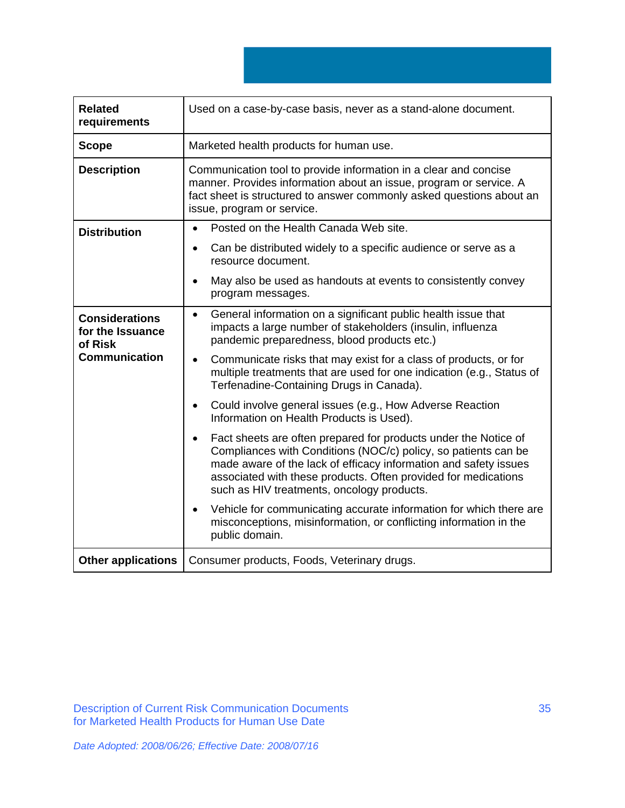| <b>Related</b><br>requirements                       | Used on a case-by-case basis, never as a stand-alone document.                                                                                                                                                                                                                                                        |
|------------------------------------------------------|-----------------------------------------------------------------------------------------------------------------------------------------------------------------------------------------------------------------------------------------------------------------------------------------------------------------------|
| <b>Scope</b>                                         | Marketed health products for human use.                                                                                                                                                                                                                                                                               |
| <b>Description</b>                                   | Communication tool to provide information in a clear and concise<br>manner. Provides information about an issue, program or service. A<br>fact sheet is structured to answer commonly asked questions about an<br>issue, program or service.                                                                          |
| <b>Distribution</b>                                  | Posted on the Health Canada Web site.<br>$\bullet$                                                                                                                                                                                                                                                                    |
|                                                      | Can be distributed widely to a specific audience or serve as a<br>$\bullet$<br>resource document.                                                                                                                                                                                                                     |
|                                                      | May also be used as handouts at events to consistently convey<br>$\bullet$<br>program messages.                                                                                                                                                                                                                       |
| <b>Considerations</b><br>for the Issuance<br>of Risk | General information on a significant public health issue that<br>$\bullet$<br>impacts a large number of stakeholders (insulin, influenza<br>pandemic preparedness, blood products etc.)                                                                                                                               |
| <b>Communication</b>                                 | Communicate risks that may exist for a class of products, or for<br>$\bullet$<br>multiple treatments that are used for one indication (e.g., Status of<br>Terfenadine-Containing Drugs in Canada).                                                                                                                    |
|                                                      | Could involve general issues (e.g., How Adverse Reaction<br>$\bullet$<br>Information on Health Products is Used).                                                                                                                                                                                                     |
|                                                      | Fact sheets are often prepared for products under the Notice of<br>Compliances with Conditions (NOC/c) policy, so patients can be<br>made aware of the lack of efficacy information and safety issues<br>associated with these products. Often provided for medications<br>such as HIV treatments, oncology products. |
|                                                      | Vehicle for communicating accurate information for which there are<br>$\bullet$<br>misconceptions, misinformation, or conflicting information in the<br>public domain.                                                                                                                                                |
| <b>Other applications</b>                            | Consumer products, Foods, Veterinary drugs.                                                                                                                                                                                                                                                                           |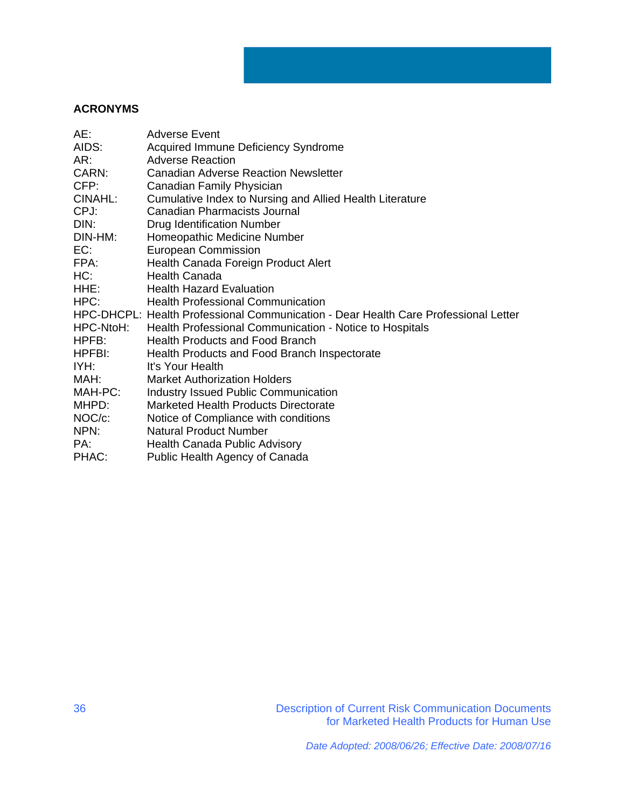# **ACRONYMS**

| AE:       | Adverse Event                                                                       |
|-----------|-------------------------------------------------------------------------------------|
| AIDS:     | Acquired Immune Deficiency Syndrome                                                 |
| AR:       | <b>Adverse Reaction</b>                                                             |
| CARN:     | <b>Canadian Adverse Reaction Newsletter</b>                                         |
| CFP:      | Canadian Family Physician                                                           |
| CINAHL:   | Cumulative Index to Nursing and Allied Health Literature                            |
| CPJ:      | <b>Canadian Pharmacists Journal</b>                                                 |
| DIN:      | <b>Drug Identification Number</b>                                                   |
| DIN-HM:   | Homeopathic Medicine Number                                                         |
| EC:       | <b>European Commission</b>                                                          |
| FPA:      | Health Canada Foreign Product Alert                                                 |
| HC:       | <b>Health Canada</b>                                                                |
| HHE:      | <b>Health Hazard Evaluation</b>                                                     |
| HPC:      | <b>Health Professional Communication</b>                                            |
|           | HPC-DHCPL: Health Professional Communication - Dear Health Care Professional Letter |
| HPC-NtoH: | Health Professional Communication - Notice to Hospitals                             |
| HPFB:     | <b>Health Products and Food Branch</b>                                              |
| HPFBI:    | Health Products and Food Branch Inspectorate                                        |
| IYH:      | It's Your Health                                                                    |
| MAH:      | <b>Market Authorization Holders</b>                                                 |
| MAH-PC:   | <b>Industry Issued Public Communication</b>                                         |
| MHPD:     | <b>Marketed Health Products Directorate</b>                                         |
| NOC/c:    | Notice of Compliance with conditions                                                |
| NPN:      | <b>Natural Product Number</b>                                                       |
| PA:       | Health Canada Public Advisory                                                       |
| PHAC:     | Public Health Agency of Canada                                                      |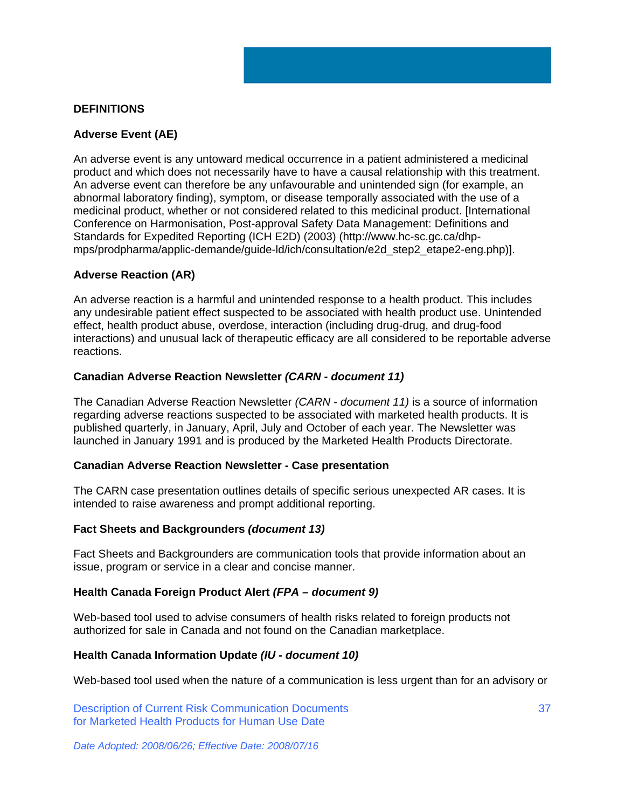# **DEFINITIONS**

# **Adverse Event (AE)**

An adverse event is any untoward medical occurrence in a patient administered a medicinal product and which does not necessarily have to have a causal relationship with this treatment. An adverse event can therefore be any unfavourable and unintended sign (for example, an abnormal laboratory finding), symptom, or disease temporally associated with the use of a medicinal product, whether or not considered related to this medicinal product. [International Conference on Harmonisation, Post-approval Safety Data Management: Definitions and Standards for Expedited Reporting (ICH E2D) (2003) (http://www.hc-sc.gc.ca/dhpmps/prodpharma/applic-demande/guide-ld/ich/consultation/e2d\_step2\_etape2-eng.php)].

## **Adverse Reaction (AR)**

An adverse reaction is a harmful and unintended response to a health product. This includes any undesirable patient effect suspected to be associated with health product use. Unintended effect, health product abuse, overdose, interaction (including drug-drug, and drug-food interactions) and unusual lack of therapeutic efficacy are all considered to be reportable adverse reactions.

## **Canadian Adverse Reaction Newsletter** *(CARN - document 11)*

The Canadian Adverse Reaction Newsletter *(CARN - document 11)* is a source of information regarding adverse reactions suspected to be associated with marketed health products. It is published quarterly, in January, April, July and October of each year. The Newsletter was launched in January 1991 and is produced by the Marketed Health Products Directorate.

## **Canadian Adverse Reaction Newsletter - Case presentation**

The CARN case presentation outlines details of specific serious unexpected AR cases. It is intended to raise awareness and prompt additional reporting.

## **Fact Sheets and Backgrounders** *(document 13)*

Fact Sheets and Backgrounders are communication tools that provide information about an issue, program or service in a clear and concise manner.

## **Health Canada Foreign Product Alert** *(FPA – document 9)*

Web-based tool used to advise consumers of health risks related to foreign products not authorized for sale in Canada and not found on the Canadian marketplace.

## **Health Canada Information Update** *(IU - document 10)*

Web-based tool used when the nature of a communication is less urgent than for an advisory or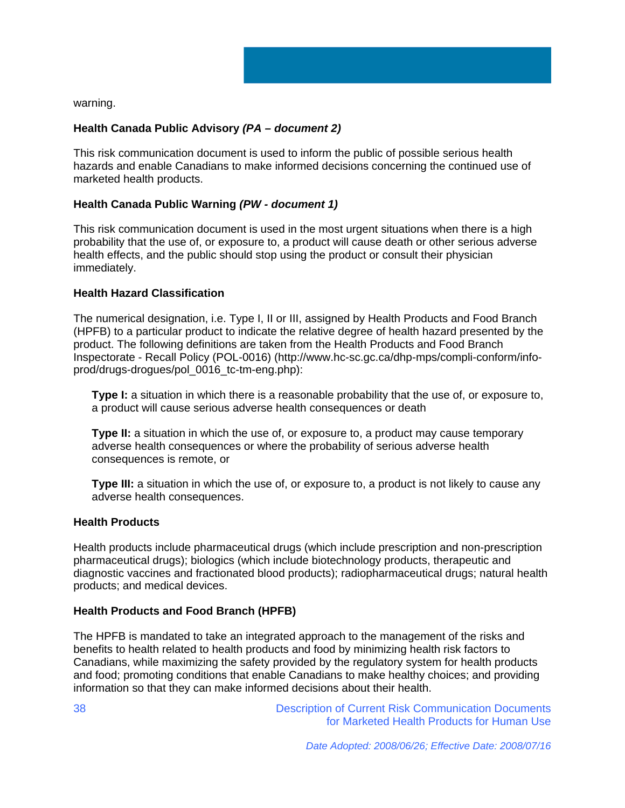

warning.

# **Health Canada Public Advisory** *(PA – document 2)*

This risk communication document is used to inform the public of possible serious health hazards and enable Canadians to make informed decisions concerning the continued use of marketed health products.

## **Health Canada Public Warning** *(PW - document 1)*

This risk communication document is used in the most urgent situations when there is a high probability that the use of, or exposure to, a product will cause death or other serious adverse health effects, and the public should stop using the product or consult their physician immediately.

## **Health Hazard Classification**

The numerical designation, i.e. Type I, II or III, assigned by Health Products and Food Branch (HPFB) to a particular product to indicate the relative degree of health hazard presented by the product. The following definitions are taken from the Health Products and Food Branch Inspectorate - Recall Policy (POL-0016) (http://www.hc-sc.gc.ca/dhp-mps/compli-conform/infoprod/drugs-drogues/pol\_0016\_tc-tm-eng.php):

**Type I:** a situation in which there is a reasonable probability that the use of, or exposure to, a product will cause serious adverse health consequences or death

**Type II:** a situation in which the use of, or exposure to, a product may cause temporary adverse health consequences or where the probability of serious adverse health consequences is remote, or

**Type III:** a situation in which the use of, or exposure to, a product is not likely to cause any adverse health consequences.

## **Health Products**

Health products include pharmaceutical drugs (which include prescription and non-prescription pharmaceutical drugs); biologics (which include biotechnology products, therapeutic and diagnostic vaccines and fractionated blood products); radiopharmaceutical drugs; natural health products; and medical devices.

## **Health Products and Food Branch (HPFB)**

The HPFB is mandated to take an integrated approach to the management of the risks and benefits to health related to health products and food by minimizing health risk factors to Canadians, while maximizing the safety provided by the regulatory system for health products and food; promoting conditions that enable Canadians to make healthy choices; and providing information so that they can make informed decisions about their health.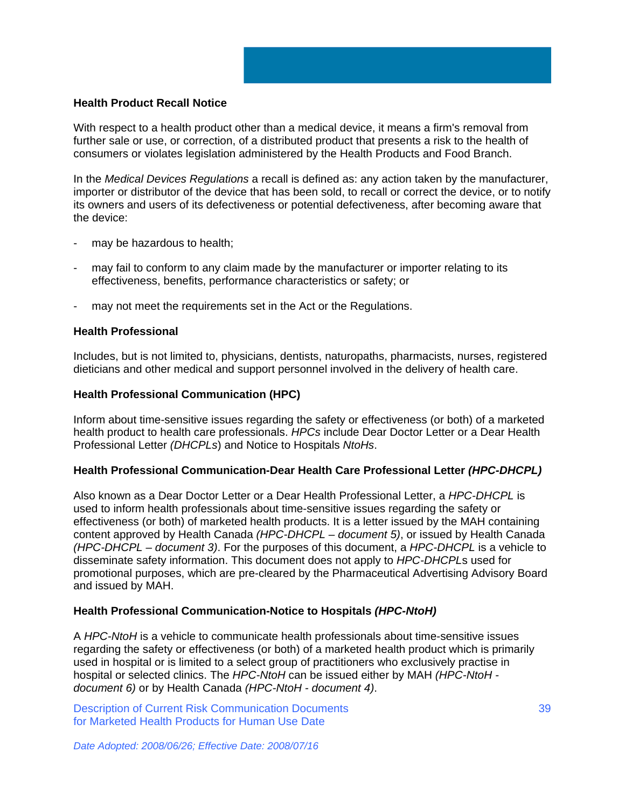## **Health Product Recall Notice**

With respect to a health product other than a medical device, it means a firm's removal from further sale or use, or correction, of a distributed product that presents a risk to the health of consumers or violates legislation administered by the Health Products and Food Branch.

In the *Medical Devices Regulations* a recall is defined as: any action taken by the manufacturer, importer or distributor of the device that has been sold, to recall or correct the device, or to notify its owners and users of its defectiveness or potential defectiveness, after becoming aware that the device:

- may be hazardous to health;
- may fail to conform to any claim made by the manufacturer or importer relating to its effectiveness, benefits, performance characteristics or safety; or
- may not meet the requirements set in the Act or the Regulations.

#### **Health Professional**

Includes, but is not limited to, physicians, dentists, naturopaths, pharmacists, nurses, registered dieticians and other medical and support personnel involved in the delivery of health care.

#### **Health Professional Communication (HPC)**

Inform about time-sensitive issues regarding the safety or effectiveness (or both) of a marketed health product to health care professionals. *HPCs* include Dear Doctor Letter or a Dear Health Professional Letter *(DHCPLs*) and Notice to Hospitals *NtoHs*.

## **Health Professional Communication-Dear Health Care Professional Letter** *(HPC-DHCPL)*

Also known as a Dear Doctor Letter or a Dear Health Professional Letter, a *HPC-DHCPL* is used to inform health professionals about time-sensitive issues regarding the safety or effectiveness (or both) of marketed health products. It is a letter issued by the MAH containing content approved by Health Canada *(HPC-DHCPL – document 5)*, or issued by Health Canada *(HPC-DHCPL – document 3)*. For the purposes of this document, a *HPC-DHCPL* is a vehicle to disseminate safety information. This document does not apply to *HPC-DHCPL*s used for promotional purposes, which are pre-cleared by the Pharmaceutical Advertising Advisory Board and issued by MAH.

## **Health Professional Communication-Notice to Hospitals** *(HPC-NtoH)*

A *HPC-NtoH* is a vehicle to communicate health professionals about time-sensitive issues regarding the safety or effectiveness (or both) of a marketed health product which is primarily used in hospital or is limited to a select group of practitioners who exclusively practise in hospital or selected clinics. The *HPC-NtoH* can be issued either by MAH *(HPC-NtoH document 6)* or by Health Canada *(HPC-NtoH - document 4)*.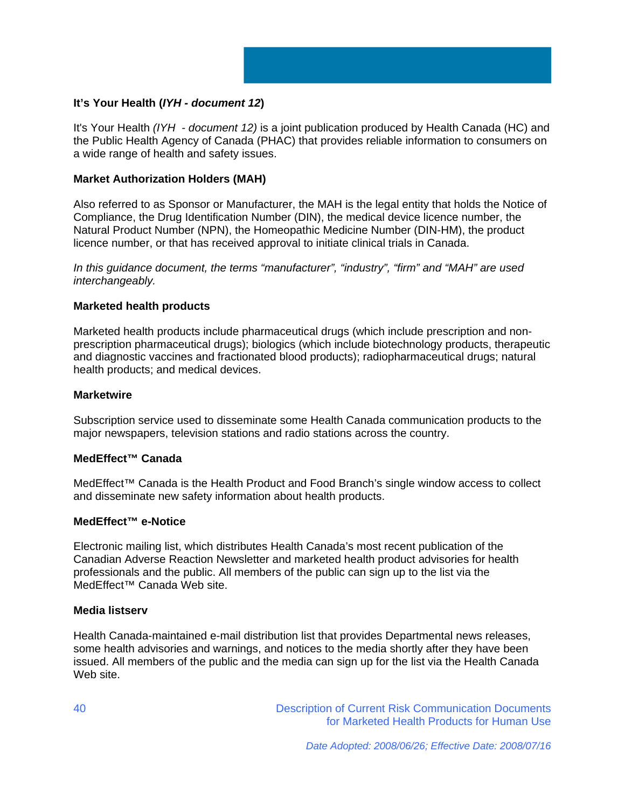

# **It's Your Health (***IYH - document 12***)**

It's Your Health *(IYH - document 12)* is a joint publication produced by Health Canada (HC) and the Public Health Agency of Canada (PHAC) that provides reliable information to consumers on a wide range of health and safety issues.

## **Market Authorization Holders (MAH)**

Also referred to as Sponsor or Manufacturer, the MAH is the legal entity that holds the Notice of Compliance, the Drug Identification Number (DIN), the medical device licence number, the Natural Product Number (NPN), the Homeopathic Medicine Number (DIN-HM), the product licence number, or that has received approval to initiate clinical trials in Canada.

*In this guidance document, the terms "manufacturer", "industry", "firm" and "MAH" are used interchangeably.* 

## **Marketed health products**

Marketed health products include pharmaceutical drugs (which include prescription and nonprescription pharmaceutical drugs); biologics (which include biotechnology products, therapeutic and diagnostic vaccines and fractionated blood products); radiopharmaceutical drugs; natural health products; and medical devices.

## **Marketwire**

Subscription service used to disseminate some Health Canada communication products to the major newspapers, television stations and radio stations across the country.

## **MedEffect™ Canada**

MedEffect™ Canada is the Health Product and Food Branch's single window access to collect and disseminate new safety information about health products.

## **MedEffect™ e-Notice**

Electronic mailing list, which distributes Health Canada's most recent publication of the Canadian Adverse Reaction Newsletter and marketed health product advisories for health professionals and the public. All members of the public can sign up to the list via the MedEffect™ Canada Web site.

## **Media listserv**

Health Canada-maintained e-mail distribution list that provides Departmental news releases, some health advisories and warnings, and notices to the media shortly after they have been issued. All members of the public and the media can sign up for the list via the Health Canada Web site.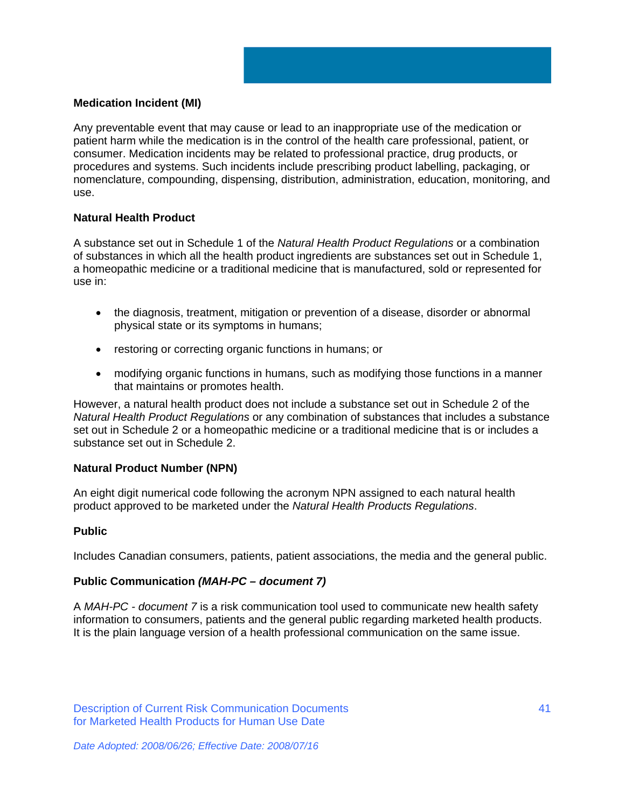# **Medication Incident (MI)**

Any preventable event that may cause or lead to an inappropriate use of the medication or patient harm while the medication is in the control of the health care professional, patient, or consumer. Medication incidents may be related to professional practice, drug products, or procedures and systems. Such incidents include prescribing product labelling, packaging, or nomenclature, compounding, dispensing, distribution, administration, education, monitoring, and use.

# **Natural Health Product**

A substance set out in Schedule 1 of the *Natural Health Product Regulations* or a combination of substances in which all the health product ingredients are substances set out in Schedule 1, a homeopathic medicine or a traditional medicine that is manufactured, sold or represented for use in:

- the diagnosis, treatment, mitigation or prevention of a disease, disorder or abnormal physical state or its symptoms in humans;
- restoring or correcting organic functions in humans; or
- modifying organic functions in humans, such as modifying those functions in a manner that maintains or promotes health.

However, a natural health product does not include a substance set out in Schedule 2 of the *Natural Health Product Regulations* or any combination of substances that includes a substance set out in Schedule 2 or a homeopathic medicine or a traditional medicine that is or includes a substance set out in Schedule 2.

## **Natural Product Number (NPN)**

An eight digit numerical code following the acronym NPN assigned to each natural health product approved to be marketed under the *Natural Health Products Regulations*.

## **Public**

Includes Canadian consumers, patients, patient associations, the media and the general public.

# **Public Communication** *(MAH-PC – document 7)*

A *MAH-PC - document 7* is a risk communication tool used to communicate new health safety information to consumers, patients and the general public regarding marketed health products. It is the plain language version of a health professional communication on the same issue.